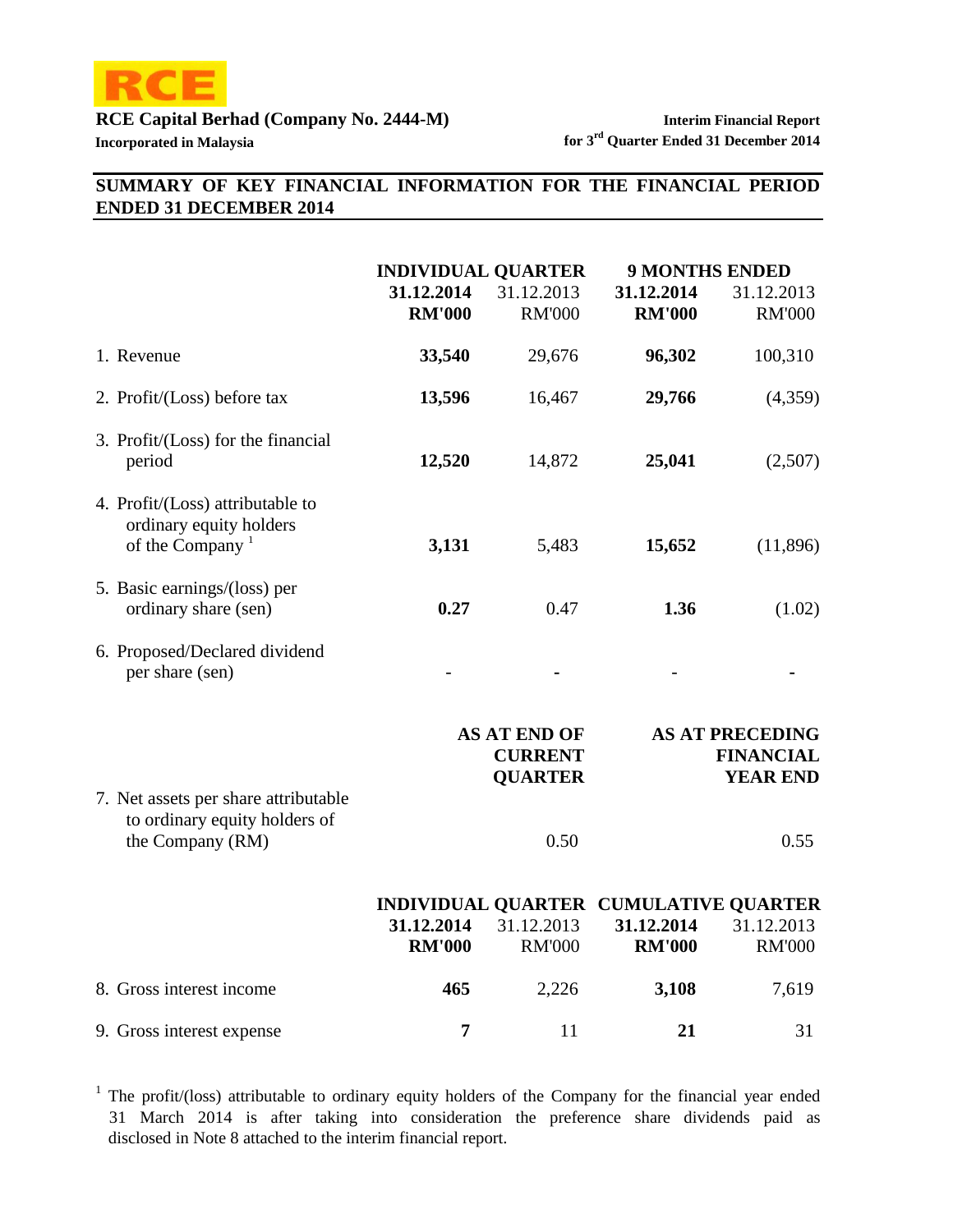

# **SUMMARY OF KEY FINANCIAL INFORMATION FOR THE FINANCIAL PERIOD ENDED 31 DECEMBER 2014**

|                                                                                            | <b>INDIVIDUAL QUARTER</b>   |                                                         |                             | <b>9 MONTHS ENDED</b>                                                |  |  |
|--------------------------------------------------------------------------------------------|-----------------------------|---------------------------------------------------------|-----------------------------|----------------------------------------------------------------------|--|--|
|                                                                                            | 31.12.2014<br><b>RM'000</b> | 31.12.2013<br><b>RM'000</b>                             | 31.12.2014<br><b>RM'000</b> | 31.12.2013<br><b>RM'000</b>                                          |  |  |
| 1. Revenue                                                                                 | 33,540                      | 29,676                                                  | 96,302                      | 100,310                                                              |  |  |
| 2. Profit/(Loss) before tax                                                                | 13,596                      | 16,467                                                  | 29,766                      | (4,359)                                                              |  |  |
| 3. Profit/(Loss) for the financial<br>period                                               | 12,520                      | 14,872                                                  | 25,041                      | (2,507)                                                              |  |  |
| 4. Profit/(Loss) attributable to<br>ordinary equity holders<br>of the Company <sup>1</sup> | 3,131                       | 5,483                                                   | 15,652                      | (11,896)                                                             |  |  |
| 5. Basic earnings/(loss) per<br>ordinary share (sen)                                       | 0.27                        | 0.47                                                    | 1.36                        | (1.02)                                                               |  |  |
| 6. Proposed/Declared dividend<br>per share (sen)                                           |                             |                                                         |                             |                                                                      |  |  |
|                                                                                            |                             | <b>AS AT END OF</b><br><b>CURRENT</b><br><b>QUARTER</b> |                             | <b>AS AT PRECEDING</b><br><b>FINANCIAL</b><br><b>YEAR END</b>        |  |  |
| 7. Net assets per share attributable<br>to ordinary equity holders of<br>the Company (RM)  |                             | 0.50                                                    |                             | 0.55                                                                 |  |  |
|                                                                                            | 31.12.2014<br><b>RM'000</b> | 31.12.2013<br><b>RM'000</b>                             | 31.12.2014<br><b>RM'000</b> | INDIVIDUAL QUARTER CUMULATIVE QUARTER<br>31.12.2013<br><b>RM'000</b> |  |  |
| 8. Gross interest income                                                                   | 465                         | 2,226                                                   | 3,108                       | 7,619                                                                |  |  |
| 9. Gross interest expense                                                                  | 7                           | 11                                                      | 21                          | 31                                                                   |  |  |

 disclosed in Note 8 attached to the interim financial report. <sup>1</sup> The profit/(loss) attributable to ordinary equity holders of the Company for the financial year ended 31 March 2014 is after taking into consideration the preference share dividends paid as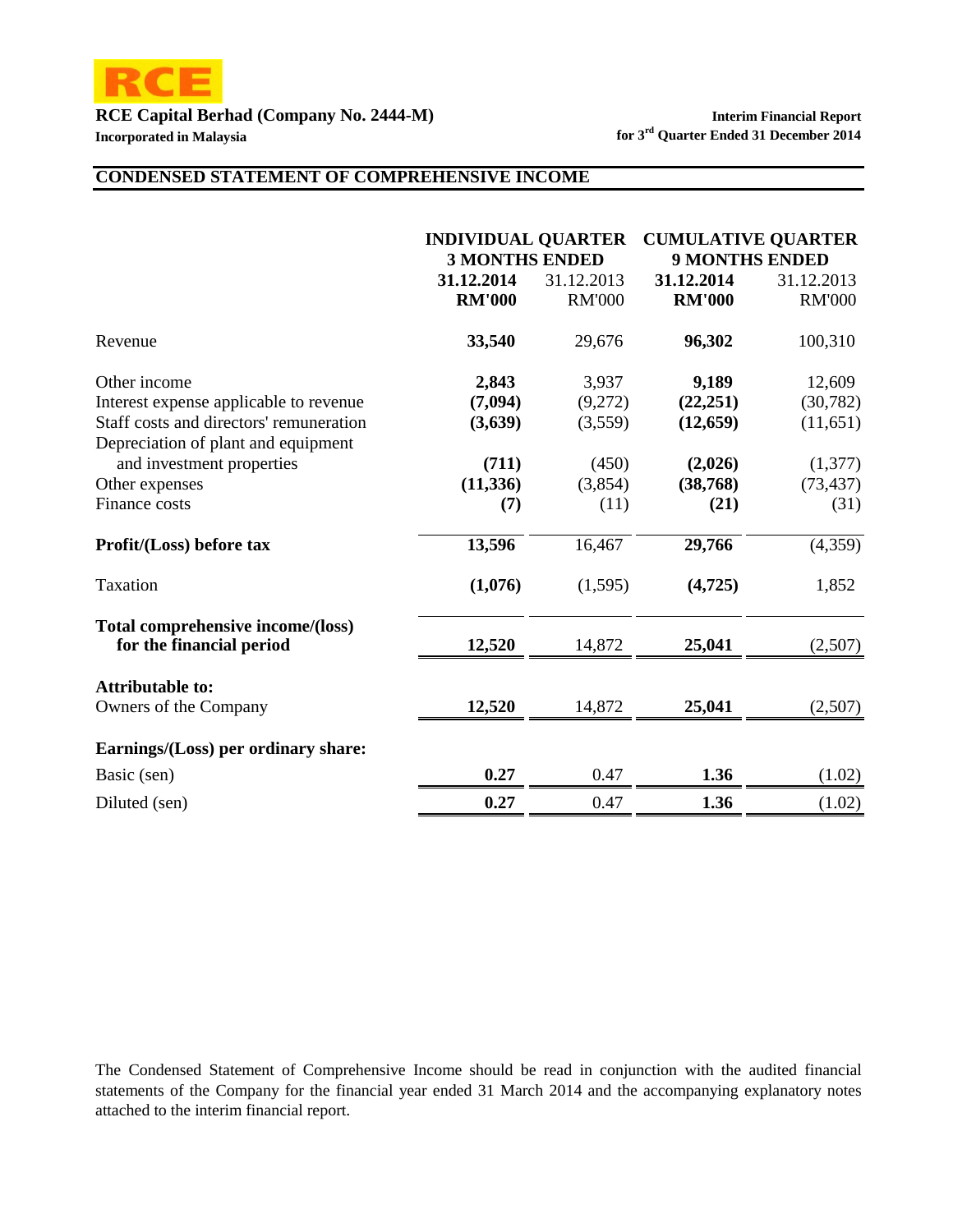

### **CONDENSED STATEMENT OF COMPREHENSIVE INCOME**

|                                         | <b>INDIVIDUAL QUARTER</b><br><b>3 MONTHS ENDED</b> |               | <b>CUMULATIVE QUARTER</b><br><b>9 MONTHS ENDED</b> |               |  |
|-----------------------------------------|----------------------------------------------------|---------------|----------------------------------------------------|---------------|--|
|                                         | 31.12.2014                                         | 31.12.2013    | 31.12.2014                                         | 31.12.2013    |  |
|                                         | <b>RM'000</b>                                      | <b>RM'000</b> | <b>RM'000</b>                                      | <b>RM'000</b> |  |
| Revenue                                 | 33,540                                             | 29,676        | 96,302                                             | 100,310       |  |
| Other income                            | 2,843                                              | 3,937         | 9,189                                              | 12,609        |  |
| Interest expense applicable to revenue  | (7,094)                                            | (9,272)       | (22, 251)                                          | (30, 782)     |  |
| Staff costs and directors' remuneration | (3,639)                                            | (3,559)       | (12, 659)                                          | (11,651)      |  |
| Depreciation of plant and equipment     |                                                    |               |                                                    |               |  |
| and investment properties               | (711)                                              | (450)         | (2,026)                                            | (1,377)       |  |
| Other expenses                          | (11, 336)                                          | (3,854)       | (38, 768)                                          | (73, 437)     |  |
| Finance costs                           | (7)                                                | (11)          | (21)                                               | (31)          |  |
| Profit/(Loss) before tax                | 13,596                                             | 16,467        | 29,766                                             | (4,359)       |  |
| Taxation                                | (1,076)                                            | (1,595)       | (4,725)                                            | 1,852         |  |
| Total comprehensive income/(loss)       |                                                    |               |                                                    |               |  |
| for the financial period                | 12,520                                             | 14,872        | 25,041                                             | (2,507)       |  |
| <b>Attributable to:</b>                 |                                                    |               |                                                    |               |  |
| Owners of the Company                   | 12,520                                             | 14,872        | 25,041                                             | (2,507)       |  |
| Earnings/(Loss) per ordinary share:     |                                                    |               |                                                    |               |  |
| Basic (sen)                             | 0.27                                               | 0.47          | 1.36                                               | (1.02)        |  |
| Diluted (sen)                           | 0.27                                               | 0.47          | 1.36                                               | (1.02)        |  |

The Condensed Statement of Comprehensive Income should be read in conjunction with the audited financial statements of the Company for the financial year ended 31 March 2014 and the accompanying explanatory notes attached to the interim financial report.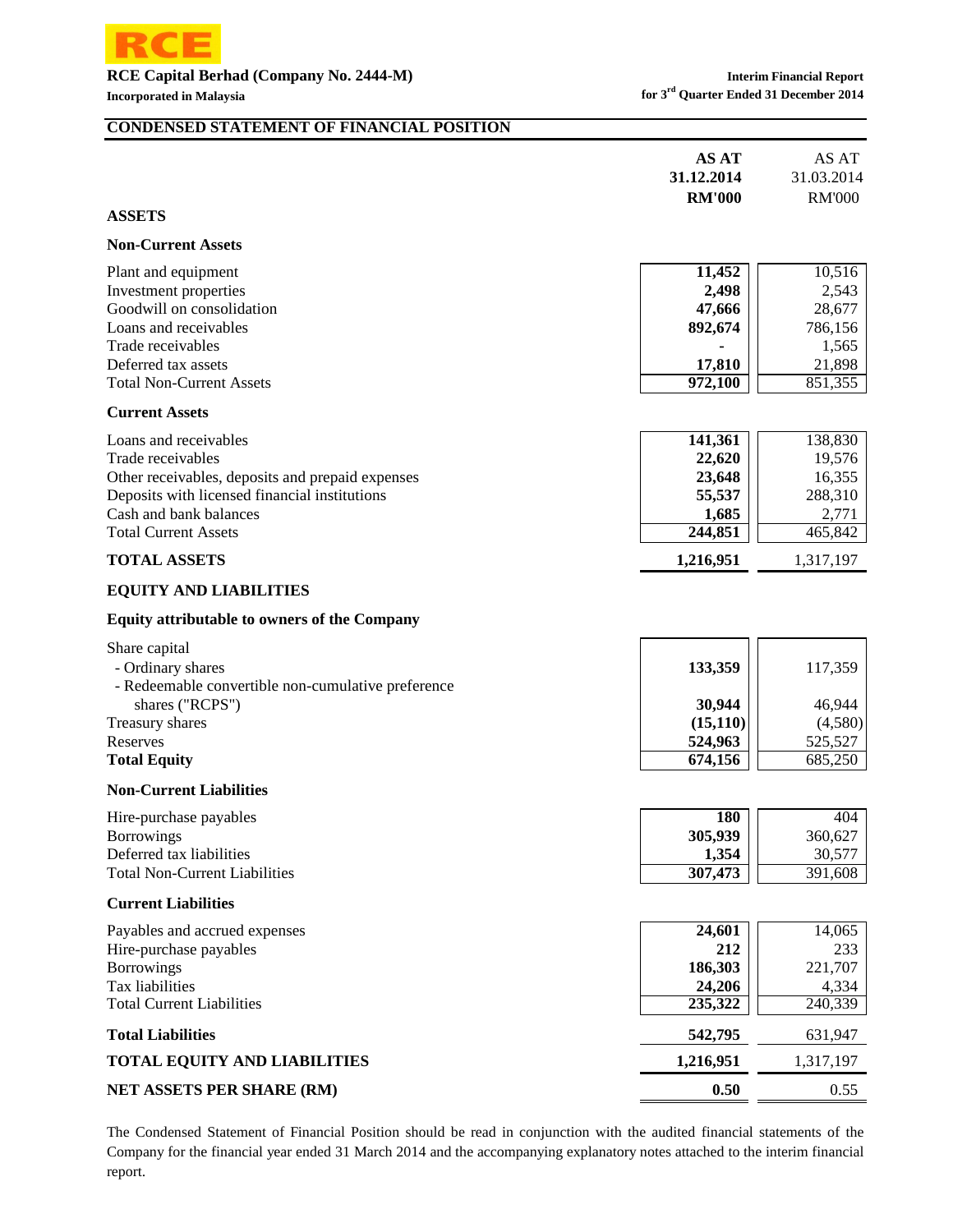

#### **CONDENSED STATEMENT OF FINANCIAL POSITION**

|               | AS AT         | AS AT         |
|---------------|---------------|---------------|
|               | 31.12.2014    | 31.03.2014    |
|               | <b>RM'000</b> | <b>RM'000</b> |
| <b>ASSETS</b> |               |               |

#### **Non-Current Assets**

| Plant and equipment             | 11.452         | 10,516  |
|---------------------------------|----------------|---------|
| Investment properties           | 2,498          | 2,543   |
| Goodwill on consolidation       | 47,666         | 28,677  |
| Loans and receivables           | 892.674        | 786,156 |
| Trade receivables               | $\blacksquare$ | 1,565   |
| Deferred tax assets             | 17.810         | 21,898  |
| <b>Total Non-Current Assets</b> | 972,100        | 851,355 |

#### **Current Assets**

| Loans and receivables                            | 141,361   | 138,830   |
|--------------------------------------------------|-----------|-----------|
| Trade receivables                                | 22,620    | 19,576    |
| Other receivables, deposits and prepaid expenses | 23,648    | 16,355    |
| Deposits with licensed financial institutions    | 55,537    | 288,310   |
| Cash and bank balances                           | 1,685     | 2,771     |
| <b>Total Current Assets</b>                      | 244,851   | 465,842   |
| <b>TOTAL ASSETS</b>                              | 1,216,951 | 1,317,197 |

#### **EQUITY AND LIABILITIES**

#### **Equity attributable to owners of the Company**

| Share capital<br>- Ordinary shares                                    | 133,359  | 117,359 |
|-----------------------------------------------------------------------|----------|---------|
| - Redeemable convertible non-cumulative preference<br>shares ("RCPS") | 30,944   | 46,944  |
| Treasury shares                                                       | (15,110) | (4,580) |
| Reserves                                                              | 524,963  | 525.527 |
| <b>Total Equity</b>                                                   | 674,156  | 685,250 |

#### **Non-Current Liabilities**

| Hire-purchase payables               | 180     | 404     |
|--------------------------------------|---------|---------|
| <b>Borrowings</b>                    | 305,939 | 360.627 |
| Deferred tax liabilities             | 1.354   | 30.577  |
| <b>Total Non-Current Liabilities</b> | 307,473 | 391.608 |

#### **Current Liabilities**

| Payables and accrued expenses       | 24,601    | 14,065    |
|-------------------------------------|-----------|-----------|
| Hire-purchase payables              | 212       | 233       |
| <b>Borrowings</b>                   | 186,303   | 221,707   |
| Tax liabilities                     | 24,206    | 4,334     |
| <b>Total Current Liabilities</b>    | 235,322   | 240,339   |
| <b>Total Liabilities</b>            | 542,795   | 631,947   |
| <b>TOTAL EQUITY AND LIABILITIES</b> | 1,216,951 | 1,317,197 |
| <b>NET ASSETS PER SHARE (RM)</b>    | 0.50      | 0.55      |

The Condensed Statement of Financial Position should be read in conjunction with the audited financial statements of the Company for the financial year ended 31 March 2014 and the accompanying explanatory notes attached to the interim financial report.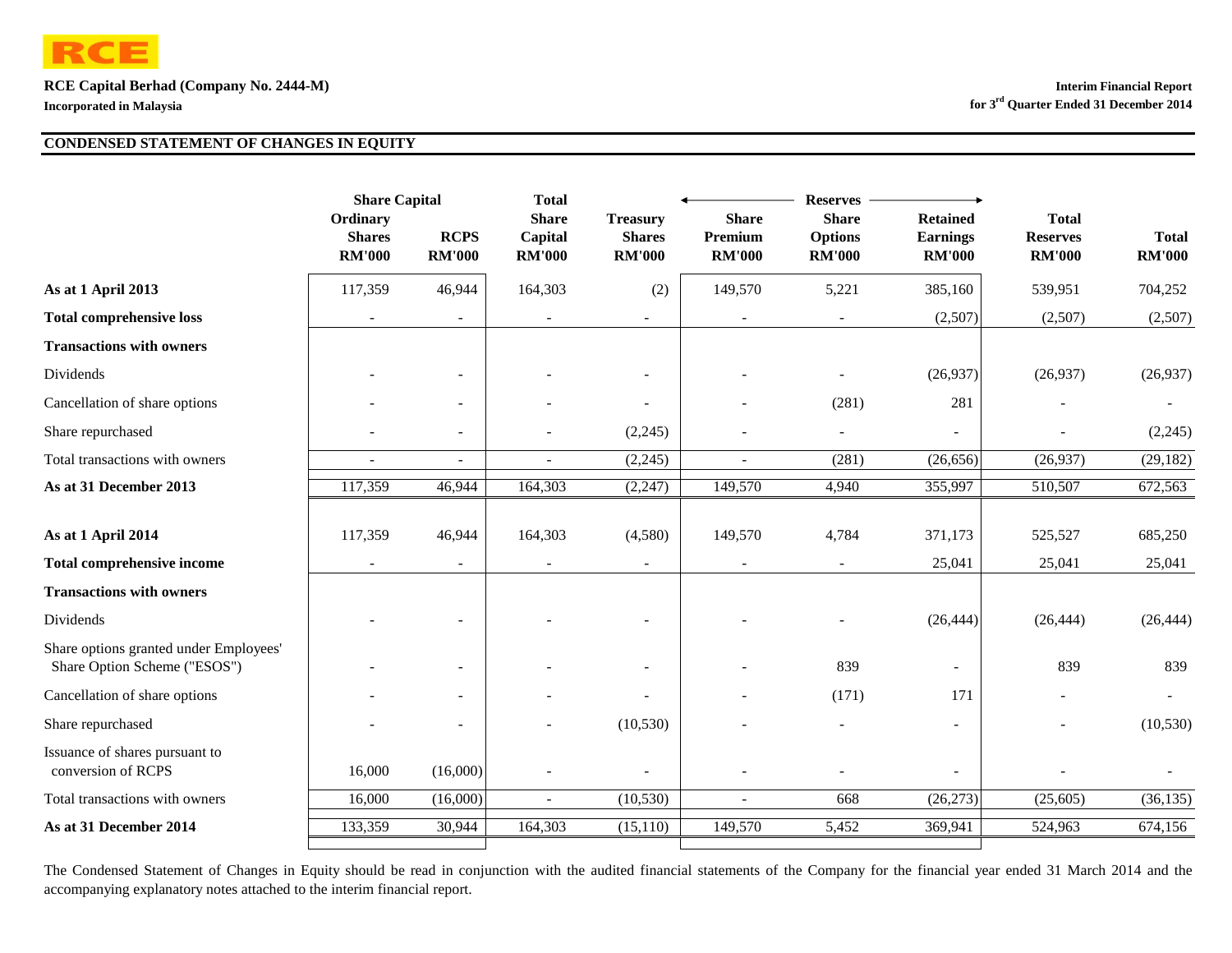

|                                                                        | <b>Share Capital</b>                       |                              | <b>Total</b>                             | <b>Reserves</b>                                   |                                          |                                                 |                                                     |                                                  |                               |  |
|------------------------------------------------------------------------|--------------------------------------------|------------------------------|------------------------------------------|---------------------------------------------------|------------------------------------------|-------------------------------------------------|-----------------------------------------------------|--------------------------------------------------|-------------------------------|--|
|                                                                        | Ordinary<br><b>Shares</b><br><b>RM'000</b> | <b>RCPS</b><br><b>RM'000</b> | <b>Share</b><br>Capital<br><b>RM'000</b> | <b>Treasury</b><br><b>Shares</b><br><b>RM'000</b> | <b>Share</b><br>Premium<br><b>RM'000</b> | <b>Share</b><br><b>Options</b><br><b>RM'000</b> | <b>Retained</b><br><b>Earnings</b><br><b>RM'000</b> | <b>Total</b><br><b>Reserves</b><br><b>RM'000</b> | <b>Total</b><br><b>RM'000</b> |  |
| As at 1 April 2013                                                     | 117,359                                    | 46,944                       | 164,303                                  | (2)                                               | 149,570                                  | 5,221                                           | 385,160                                             | 539,951                                          | 704,252                       |  |
| <b>Total comprehensive loss</b>                                        |                                            | $\overline{\phantom{a}}$     |                                          | ۰                                                 |                                          |                                                 | (2,507)                                             | (2,507)                                          | (2,507)                       |  |
| <b>Transactions with owners</b>                                        |                                            |                              |                                          |                                                   |                                          |                                                 |                                                     |                                                  |                               |  |
| Dividends                                                              |                                            | $\sim$                       |                                          | ۰                                                 |                                          |                                                 | (26,937)                                            | (26,937)                                         | (26,937)                      |  |
| Cancellation of share options                                          |                                            | $\overline{\phantom{a}}$     |                                          | $\overline{\phantom{a}}$                          |                                          | (281)                                           | 281                                                 |                                                  |                               |  |
| Share repurchased                                                      |                                            | $\overline{\phantom{a}}$     |                                          | (2,245)                                           |                                          |                                                 |                                                     |                                                  | (2,245)                       |  |
| Total transactions with owners                                         |                                            | $\sim$                       |                                          | (2,245)                                           |                                          | (281)                                           | (26, 656)                                           | (26,937)                                         | (29, 182)                     |  |
| As at 31 December 2013                                                 | 117,359                                    | 46,944                       | 164,303                                  | (2, 247)                                          | 149,570                                  | 4,940                                           | 355,997                                             | 510,507                                          | 672,563                       |  |
| As at 1 April 2014                                                     | 117,359                                    | 46,944                       | 164,303                                  | (4,580)                                           | 149,570                                  | 4,784                                           | 371,173                                             | 525,527                                          | 685,250                       |  |
| <b>Total comprehensive income</b>                                      |                                            | $\overline{\phantom{a}}$     |                                          |                                                   |                                          |                                                 | 25,041                                              | 25,041                                           | 25,041                        |  |
| <b>Transactions with owners</b>                                        |                                            |                              |                                          |                                                   |                                          |                                                 |                                                     |                                                  |                               |  |
| Dividends                                                              |                                            |                              |                                          |                                                   |                                          |                                                 | (26, 444)                                           | (26, 444)                                        | (26, 444)                     |  |
| Share options granted under Employees'<br>Share Option Scheme ("ESOS") |                                            | $\overline{\phantom{a}}$     |                                          |                                                   |                                          | 839                                             |                                                     | 839                                              | 839                           |  |
| Cancellation of share options                                          |                                            | $\blacksquare$               |                                          |                                                   |                                          | (171)                                           | 171                                                 |                                                  |                               |  |
| Share repurchased                                                      |                                            | $\overline{\phantom{a}}$     |                                          | (10, 530)                                         |                                          |                                                 | $\blacksquare$                                      |                                                  | (10, 530)                     |  |
| Issuance of shares pursuant to<br>conversion of RCPS                   | 16,000                                     | (16,000)                     |                                          |                                                   |                                          |                                                 |                                                     |                                                  |                               |  |
| Total transactions with owners                                         | 16,000                                     | (16,000)                     | $\overline{\phantom{a}}$                 | (10, 530)                                         | $\overline{\phantom{a}}$                 | 668                                             | (26, 273)                                           | (25,605)                                         | (36, 135)                     |  |
| As at 31 December 2014                                                 | 133,359                                    | 30,944                       | 164,303                                  | $(15,\overline{110})$                             | 149,570                                  | 5,452                                           | 369,941                                             | 524,963                                          | 674,156                       |  |
|                                                                        |                                            |                              |                                          |                                                   |                                          |                                                 |                                                     |                                                  |                               |  |

The Condensed Statement of Changes in Equity should be read in conjunction with the audited financial statements of the Company for the financial year ended 31 March 2014 and the accompanying explanatory notes attached to the interim financial report.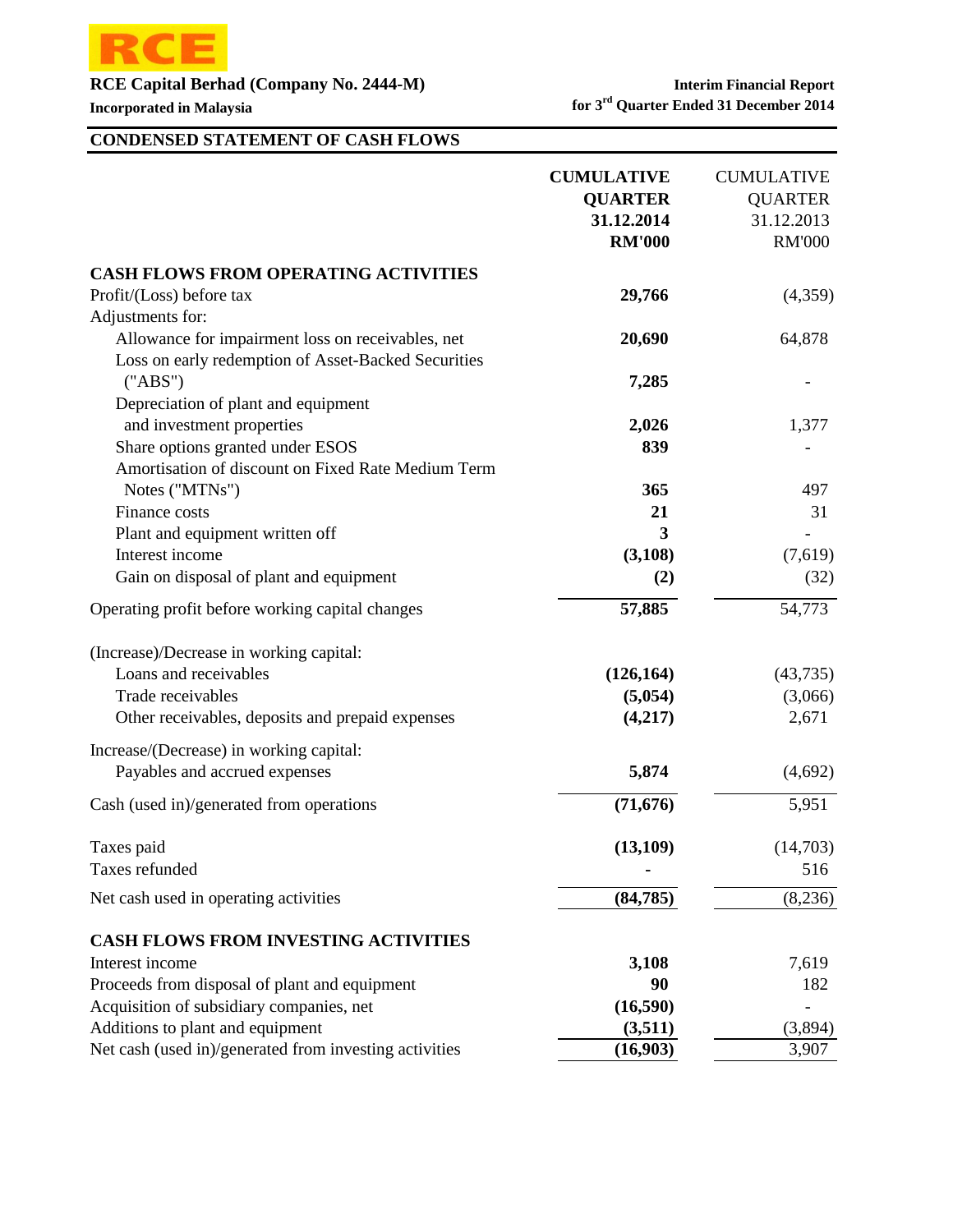

**Incorporated in Malaysia for 3<sup>rd</sup> Quarter Ended 31 December 2014** 

# **CONDENSED STATEMENT OF CASH FLOWS**

|                                                        | <b>CUMULATIVE</b><br><b>QUARTER</b><br>31.12.2014<br><b>RM'000</b> | <b>CUMULATIVE</b><br><b>QUARTER</b><br>31.12.2013<br><b>RM'000</b> |
|--------------------------------------------------------|--------------------------------------------------------------------|--------------------------------------------------------------------|
| <b>CASH FLOWS FROM OPERATING ACTIVITIES</b>            |                                                                    |                                                                    |
| Profit/(Loss) before tax                               | 29,766                                                             | (4,359)                                                            |
| Adjustments for:                                       |                                                                    |                                                                    |
| Allowance for impairment loss on receivables, net      | 20,690                                                             | 64,878                                                             |
| Loss on early redemption of Asset-Backed Securities    |                                                                    |                                                                    |
| ("ABS")                                                | 7,285                                                              |                                                                    |
| Depreciation of plant and equipment                    |                                                                    |                                                                    |
| and investment properties                              | 2,026                                                              | 1,377                                                              |
| Share options granted under ESOS                       | 839                                                                |                                                                    |
| Amortisation of discount on Fixed Rate Medium Term     |                                                                    |                                                                    |
| Notes ("MTNs")                                         | 365                                                                | 497                                                                |
| Finance costs                                          | 21                                                                 | 31                                                                 |
| Plant and equipment written off                        | 3                                                                  |                                                                    |
| Interest income                                        | (3,108)                                                            | (7,619)                                                            |
| Gain on disposal of plant and equipment                | (2)                                                                | (32)                                                               |
| Operating profit before working capital changes        | 57,885                                                             | 54,773                                                             |
| (Increase)/Decrease in working capital:                |                                                                    |                                                                    |
| Loans and receivables                                  | (126, 164)                                                         | (43, 735)                                                          |
| Trade receivables                                      | (5,054)                                                            | (3,066)                                                            |
| Other receivables, deposits and prepaid expenses       | (4,217)                                                            | 2,671                                                              |
| Increase/(Decrease) in working capital:                |                                                                    |                                                                    |
| Payables and accrued expenses                          | 5,874                                                              | (4,692)                                                            |
| Cash (used in)/generated from operations               | (71, 676)                                                          | 5,951                                                              |
| Taxes paid                                             | (13, 109)                                                          | (14,703)                                                           |
| Taxes refunded                                         |                                                                    | 516                                                                |
| Net cash used in operating activities                  | (84, 785)                                                          | (8,236)                                                            |
| <b>CASH FLOWS FROM INVESTING ACTIVITIES</b>            |                                                                    |                                                                    |
| Interest income                                        | 3,108                                                              | 7,619                                                              |
| Proceeds from disposal of plant and equipment          | 90                                                                 | 182                                                                |
| Acquisition of subsidiary companies, net               | (16,590)                                                           |                                                                    |
| Additions to plant and equipment                       | (3,511)                                                            | (3,894)                                                            |
| Net cash (used in)/generated from investing activities | (16,903)                                                           | 3,907                                                              |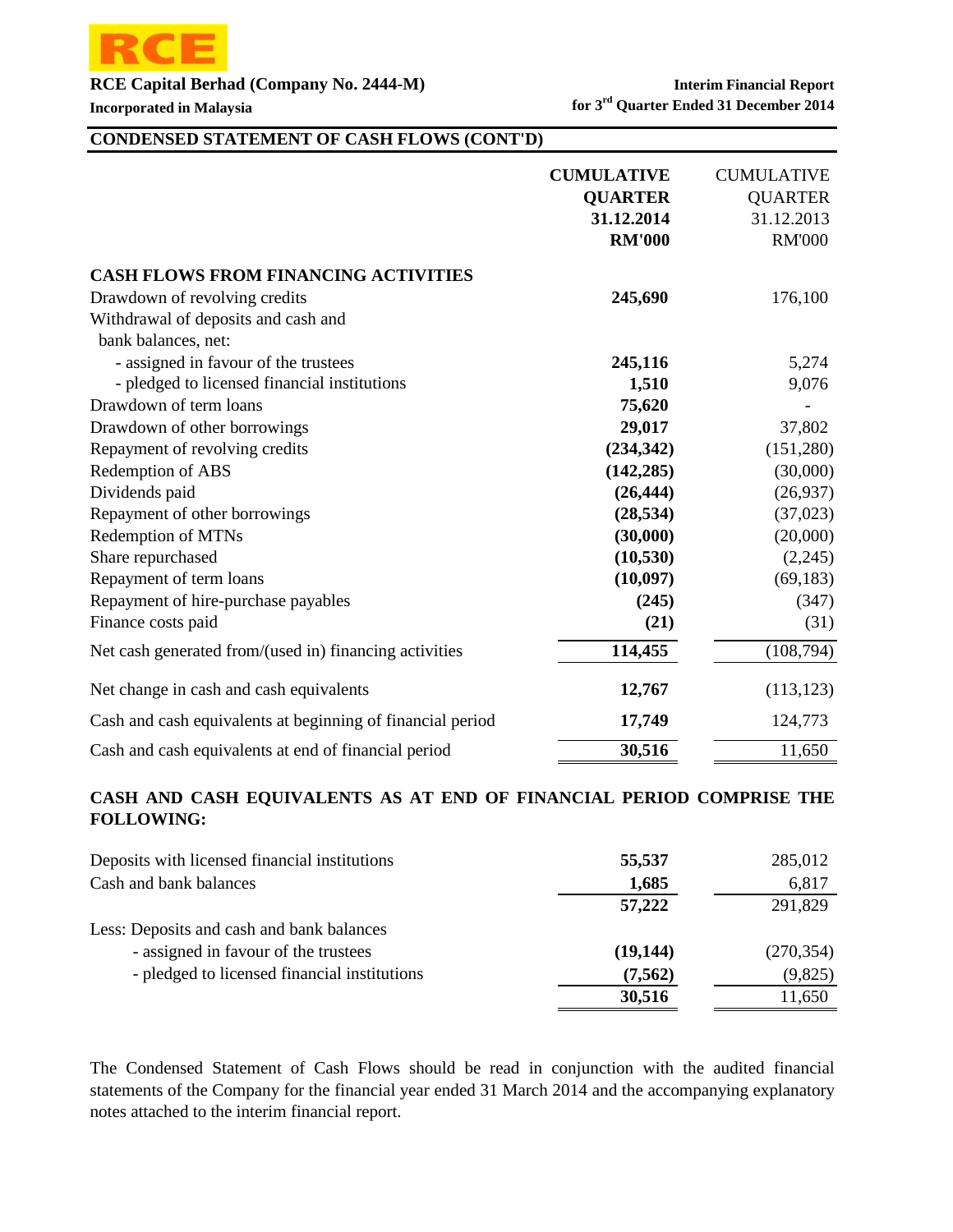

### **CONDENSED STATEMENT OF CASH FLOWS (CONT'D)**

|                                                            | <b>CUMULATIVE</b><br><b>QUARTER</b><br>31.12.2014 | <b>CUMULATIVE</b><br><b>QUARTER</b><br>31.12.2013 |
|------------------------------------------------------------|---------------------------------------------------|---------------------------------------------------|
|                                                            | <b>RM'000</b>                                     | <b>RM'000</b>                                     |
| <b>CASH FLOWS FROM FINANCING ACTIVITIES</b>                |                                                   |                                                   |
| Drawdown of revolving credits                              | 245,690                                           | 176,100                                           |
| Withdrawal of deposits and cash and                        |                                                   |                                                   |
| bank balances, net:                                        |                                                   |                                                   |
| - assigned in favour of the trustees                       | 245,116                                           | 5,274                                             |
| - pledged to licensed financial institutions               | 1,510                                             | 9,076                                             |
| Drawdown of term loans                                     | 75,620                                            |                                                   |
| Drawdown of other borrowings                               | 29,017                                            | 37,802                                            |
| Repayment of revolving credits                             | (234, 342)                                        | (151,280)                                         |
| Redemption of ABS                                          | (142, 285)                                        | (30,000)                                          |
| Dividends paid                                             | (26, 444)                                         | (26,937)                                          |
| Repayment of other borrowings                              | (28, 534)                                         | (37, 023)                                         |
| <b>Redemption of MTNs</b>                                  | (30,000)                                          | (20,000)                                          |
| Share repurchased                                          | (10, 530)                                         | (2,245)                                           |
| Repayment of term loans                                    | (10,097)                                          | (69, 183)                                         |
| Repayment of hire-purchase payables                        | (245)                                             | (347)                                             |
| Finance costs paid                                         | (21)                                              | (31)                                              |
| Net cash generated from/(used in) financing activities     | 114,455                                           | (108, 794)                                        |
| Net change in cash and cash equivalents                    | 12,767                                            | (113, 123)                                        |
| Cash and cash equivalents at beginning of financial period | 17,749                                            | 124,773                                           |
| Cash and cash equivalents at end of financial period       | 30,516                                            | 11,650                                            |

### **CASH AND CASH EQUIVALENTS AS AT END OF FINANCIAL PERIOD COMPRISE THE FOLLOWING:**

| Deposits with licensed financial institutions | 55,537    | 285,012    |
|-----------------------------------------------|-----------|------------|
| Cash and bank balances                        | 1,685     | 6,817      |
|                                               | 57,222    | 291,829    |
| Less: Deposits and cash and bank balances     |           |            |
| - assigned in favour of the trustees          | (19, 144) | (270, 354) |
| - pledged to licensed financial institutions  | (7,562)   | (9,825)    |
|                                               | 30,516    | 11,650     |
|                                               |           |            |

The Condensed Statement of Cash Flows should be read in conjunction with the audited financial statements of the Company for the financial year ended 31 March 2014 and the accompanying explanatory notes attached to the interim financial report.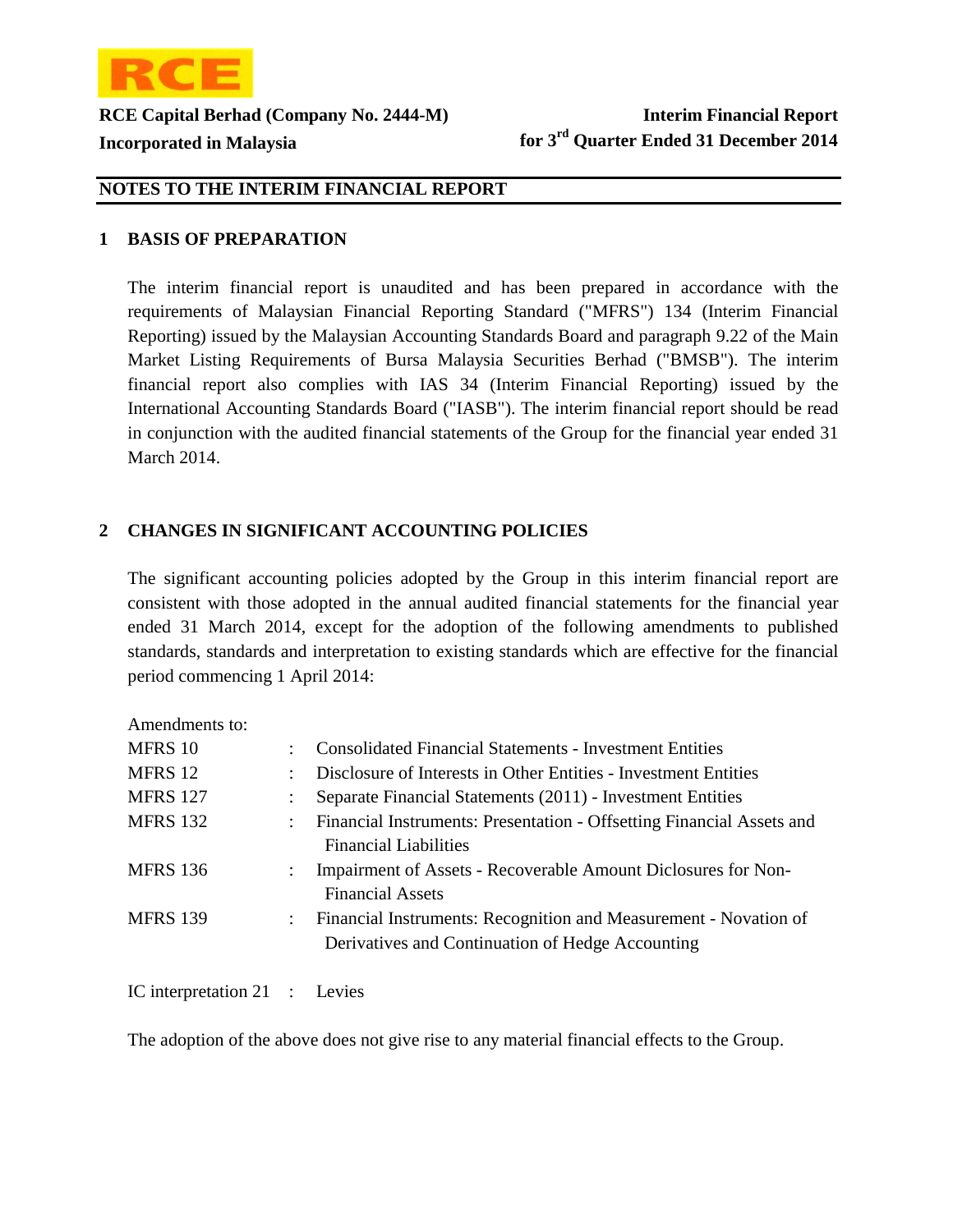

### **1 BASIS OF PREPARATION**

The interim financial report is unaudited and has been prepared in accordance with the requirements of Malaysian Financial Reporting Standard ("MFRS") 134 (Interim Financial Reporting) issued by the Malaysian Accounting Standards Board and paragraph 9.22 of the Main Market Listing Requirements of Bursa Malaysia Securities Berhad ("BMSB"). The interim financial report also complies with IAS 34 (Interim Financial Reporting) issued by the International Accounting Standards Board ("IASB"). The interim financial report should be read in conjunction with the audited financial statements of the Group for the financial year ended 31 March 2014.

### 2 CHANGES IN SIGNIFICANT ACCOUNTING POLICIES

The significant accounting policies adopted by the Group in this interim financial report are consistent with those adopted in the annual audited financial statements for the financial year ended 31 March 2014, except for the adoption of the following amendments to published standards, standards and interpretation to existing standards which are effective for the financial period commencing 1 April 2014:

Amendments to:

| MFRS 10         | ÷.                        | <b>Consolidated Financial Statements - Investment Entities</b>                                                       |
|-----------------|---------------------------|----------------------------------------------------------------------------------------------------------------------|
| MFRS 12         | ÷                         | Disclosure of Interests in Other Entities - Investment Entities                                                      |
| <b>MFRS 127</b> |                           | Separate Financial Statements (2011) - Investment Entities                                                           |
| <b>MFRS 132</b> | $\mathbb{R}^{\mathbb{Z}}$ | Financial Instruments: Presentation - Offsetting Financial Assets and<br><b>Financial Liabilities</b>                |
| <b>MFRS 136</b> | $\ddot{\phantom{0}}$      | Impairment of Assets - Recoverable Amount Diclosures for Non-<br><b>Financial Assets</b>                             |
| <b>MFRS 139</b> | $\mathbb{Z}^{\mathbb{Z}}$ | Financial Instruments: Recognition and Measurement - Novation of<br>Derivatives and Continuation of Hedge Accounting |

IC interpretation 21 : **Levies** 

The adoption of the above does not give rise to any material financial effects to the Group.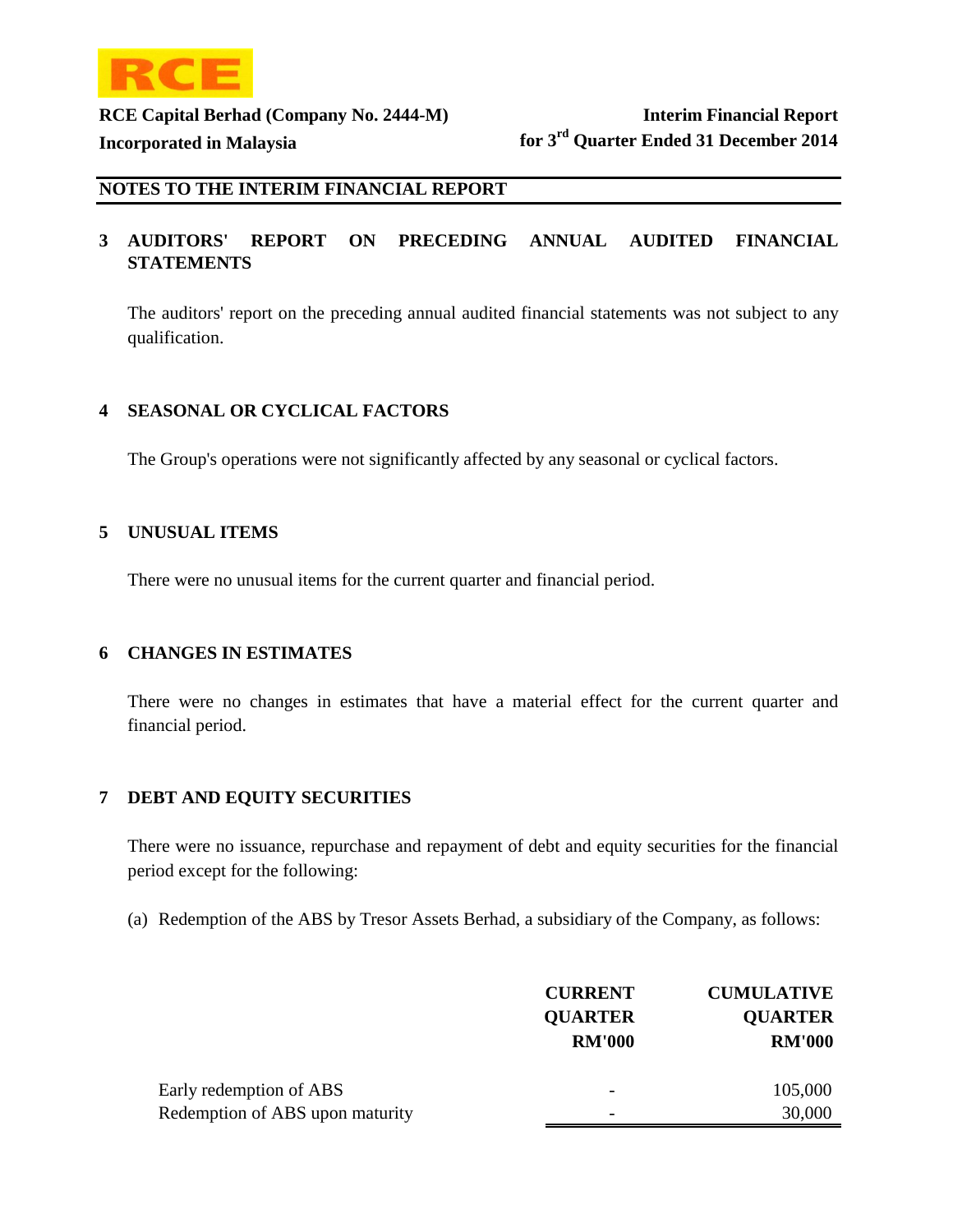

#### **3** AUDITORS' REPORT ON PRECEDING ANNUAL AUDITED FINANCIAL **STATEMENTS**

The auditors' report on the preceding annual audited financial statements was not subject to any qualification.

### **4 SEASONAL OR CYCLICAL FACTORS**

The Group's operations were not significantly affected by any seasonal or cyclical factors.

#### **5 UNUSUAL ITEMS**

There were no unusual items for the current quarter and financial period.

#### **6 CHANGES IN ESTIMATES**

There were no changes in estimates that have a material effect for the current quarter and financial period.

### **7 DEBT AND EQUITY SECURITIES**

There were no issuance, repurchase and repayment of debt and equity securities for the financial period except for the following:

(a) Redemption of the ABS by Tresor Assets Berhad, a subsidiary of the Company, as follows:

|                                 | <b>CURRENT</b> | <b>CUMULATIVE</b> |
|---------------------------------|----------------|-------------------|
|                                 | <b>QUARTER</b> | <b>QUARTER</b>    |
|                                 | <b>RM'000</b>  | <b>RM'000</b>     |
| Early redemption of ABS         | -              | 105,000           |
| Redemption of ABS upon maturity |                | 30,000            |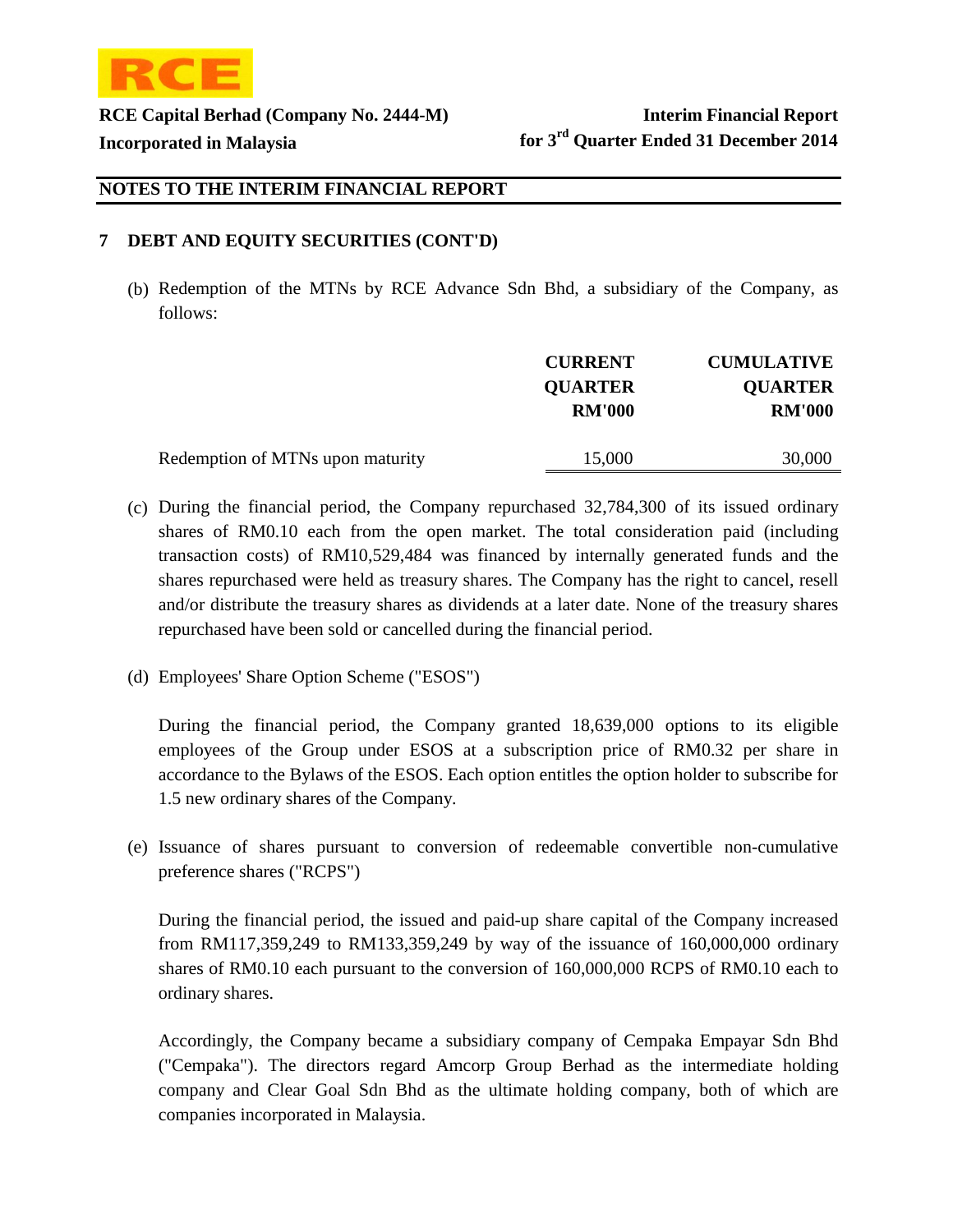

### **7 DEBT AND EQUITY SECURITIES (CONT'D)**

(b) Redemption of the MTNs by RCE Advance Sdn Bhd, a subsidiary of the Company, as follows:

|                                  | <b>CURRENT</b><br><b>QUARTER</b><br><b>RM'000</b> | <b>CUMULATIVE</b><br><b>QUARTER</b><br><b>RM'000</b> |
|----------------------------------|---------------------------------------------------|------------------------------------------------------|
| Redemption of MTNs upon maturity | 15,000                                            | 30,000                                               |

- (c) During the financial period, the Company repurchased 32,784,300 of its issued ordinary shares of RM0.10 each from the open market. The total consideration paid (including transaction costs) of RM10,529,484 was financed by internally generated funds and the shares repurchased were held as treasury shares. The Company has the right to cancel, resell and/or distribute the treasury shares as dividends at a later date. None of the treasury shares repurchased have been sold or cancelled during the financial period.
- (d) Employees' Share Option Scheme ("ESOS")

During the financial period, the Company granted 18,639,000 options to its eligible employees of the Group under ESOS at a subscription price of RM0.32 per share in accordance to the Bylaws of the ESOS. Each option entitles the option holder to subscribe for 1.5 new ordinary shares of the Company.

(e) Issuance of shares pursuant to conversion of redeemable convertible non-cumulative preference shares ("RCPS")

During the financial period, the issued and paid-up share capital of the Company increased from RM117,359,249 to RM133,359,249 by way of the issuance of 160,000,000 ordinary shares of RM0.10 each pursuant to the conversion of 160,000,000 RCPS of RM0.10 each to ordinary shares.

Accordingly, the Company became a subsidiary company of Cempaka Empayar Sdn Bhd ("Cempaka"). The directors regard Amcorp Group Berhad as the intermediate holding company and Clear Goal Sdn Bhd as the ultimate holding company, both of which are companies incorporated in Malaysia.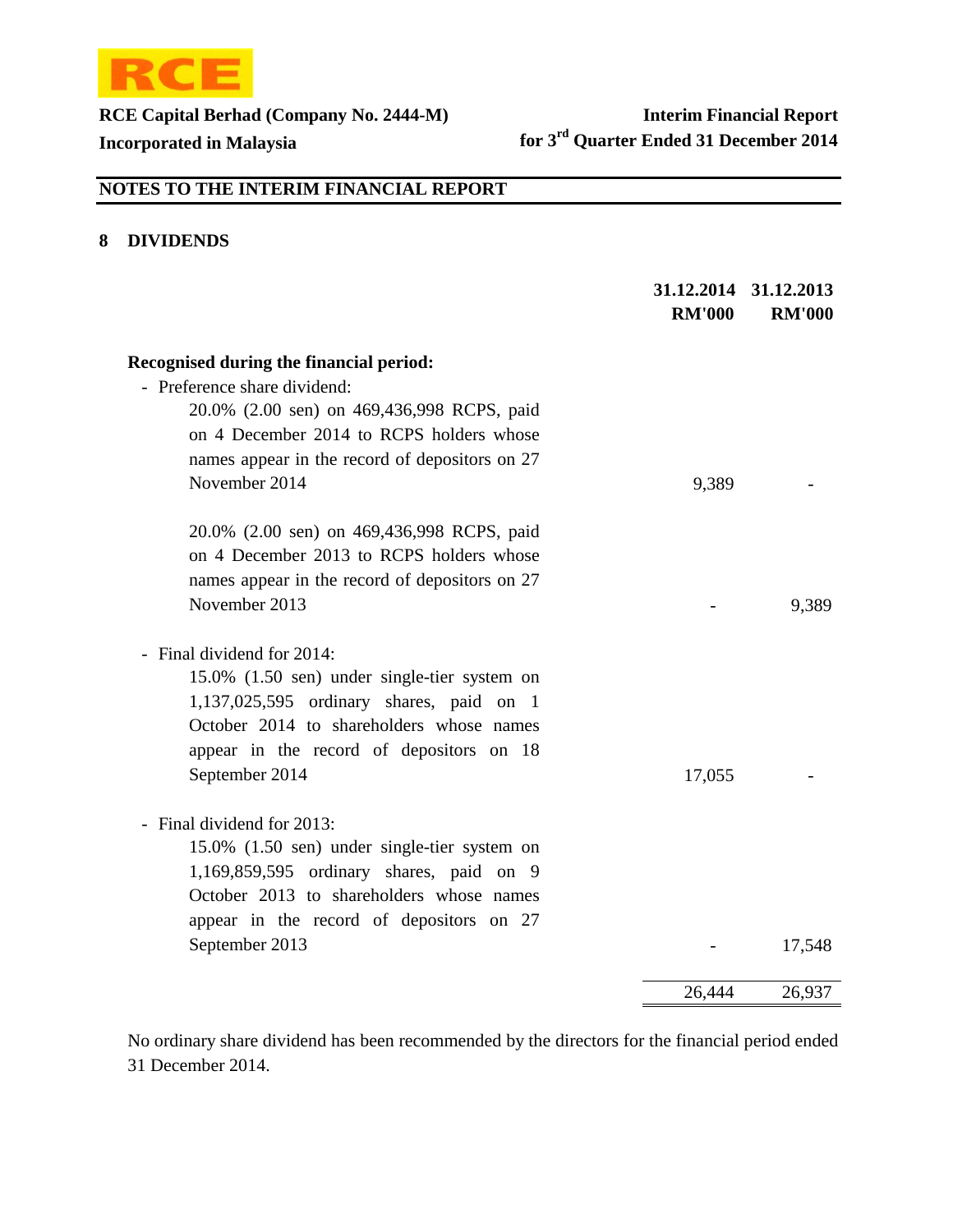

# **NOTES TO THE INTERIM FINANCIAL REPORT**

### **8 DIVIDENDS**

|                                                | <b>RM'000</b> | 31.12.2014 31.12.2013<br><b>RM'000</b> |
|------------------------------------------------|---------------|----------------------------------------|
| Recognised during the financial period:        |               |                                        |
| - Preference share dividend:                   |               |                                        |
| 20.0% (2.00 sen) on 469,436,998 RCPS, paid     |               |                                        |
| on 4 December 2014 to RCPS holders whose       |               |                                        |
| names appear in the record of depositors on 27 |               |                                        |
| November 2014                                  | 9,389         |                                        |
| 20.0% (2.00 sen) on 469,436,998 RCPS, paid     |               |                                        |
| on 4 December 2013 to RCPS holders whose       |               |                                        |
| names appear in the record of depositors on 27 |               |                                        |
| November 2013                                  |               | 9,389                                  |
| - Final dividend for 2014:                     |               |                                        |
| 15.0% (1.50 sen) under single-tier system on   |               |                                        |
| 1,137,025,595 ordinary shares, paid on 1       |               |                                        |
| October 2014 to shareholders whose names       |               |                                        |
| appear in the record of depositors on 18       |               |                                        |
| September 2014                                 | 17,055        |                                        |
| - Final dividend for 2013:                     |               |                                        |
| 15.0% (1.50 sen) under single-tier system on   |               |                                        |
| 1,169,859,595 ordinary shares, paid on 9       |               |                                        |
| October 2013 to shareholders whose names       |               |                                        |
| appear in the record of depositors on 27       |               |                                        |
| September 2013                                 |               | 17,548                                 |
|                                                | 26,444        | 26,937                                 |

No ordinary share dividend has been recommended by the directors for the financial period ended 31 December 2014.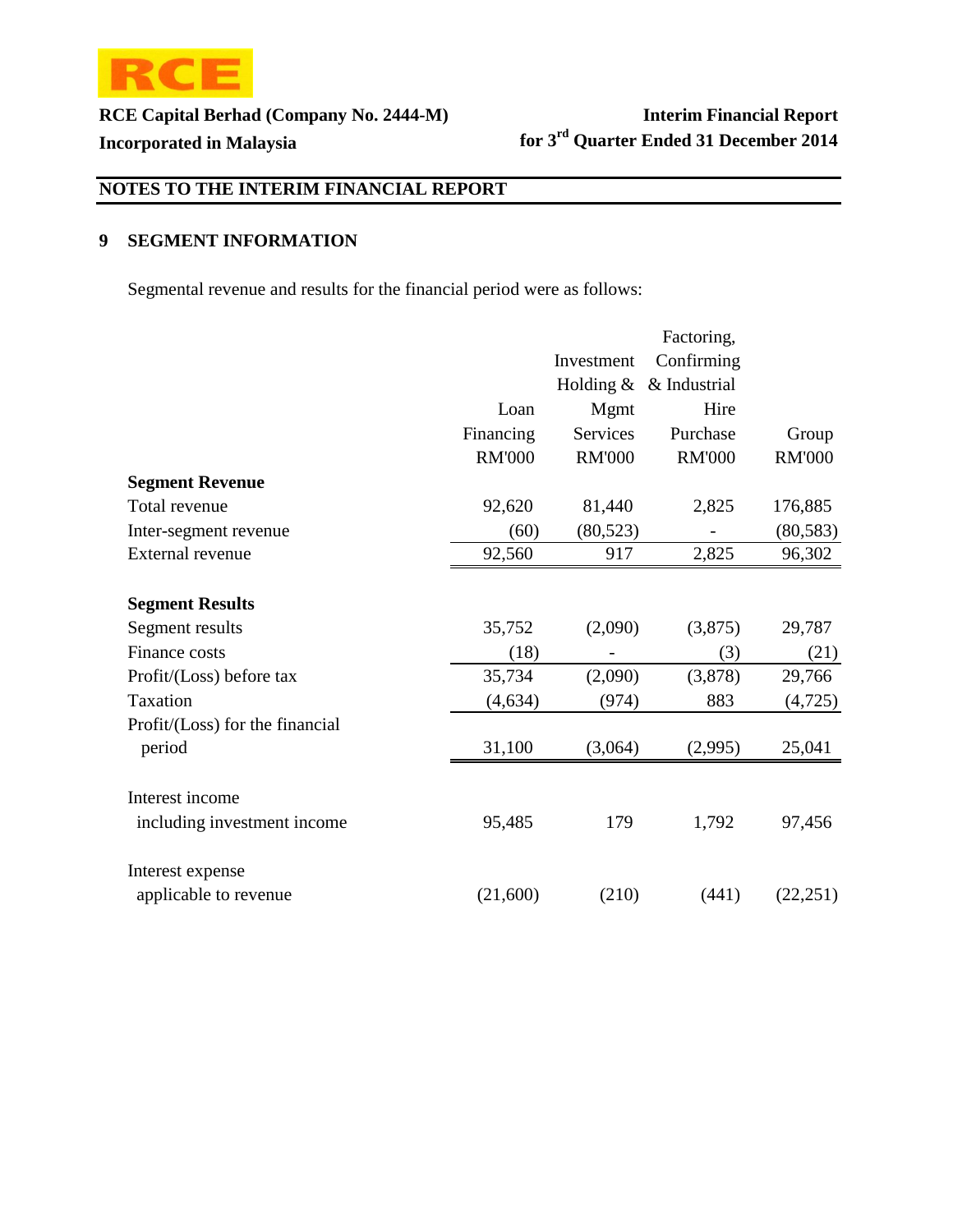

# **NOTES TO THE INTERIM FINANCIAL REPORT**

### **9 SEGMENT INFORMATION**

Segmental revenue and results for the financial period were as follows:

|                                 |               |               | Factoring,    |               |
|---------------------------------|---------------|---------------|---------------|---------------|
|                                 |               | Investment    | Confirming    |               |
|                                 |               | Holding $&$   | & Industrial  |               |
|                                 | Loan          | <b>Mgmt</b>   | Hire          |               |
|                                 | Financing     | Services      | Purchase      | Group         |
|                                 | <b>RM'000</b> | <b>RM'000</b> | <b>RM'000</b> | <b>RM'000</b> |
| <b>Segment Revenue</b>          |               |               |               |               |
| Total revenue                   | 92,620        | 81,440        | 2,825         | 176,885       |
| Inter-segment revenue           | (60)          | (80, 523)     |               | (80, 583)     |
| <b>External revenue</b>         | 92,560        | 917           | 2,825         | 96,302        |
| <b>Segment Results</b>          |               |               |               |               |
| Segment results                 | 35,752        | (2,090)       | (3,875)       | 29,787        |
| Finance costs                   | (18)          |               | (3)           | (21)          |
| Profit/(Loss) before tax        | 35,734        | (2,090)       | (3,878)       | 29,766        |
| Taxation                        | (4, 634)      | (974)         | 883           | (4,725)       |
| Profit/(Loss) for the financial |               |               |               |               |
| period                          | 31,100        | (3,064)       | (2,995)       | 25,041        |
| Interest income                 |               |               |               |               |
| including investment income     | 95,485        | 179           | 1,792         | 97,456        |
| Interest expense                |               |               |               |               |
| applicable to revenue           | (21,600)      | (210)         | (441)         | (22, 251)     |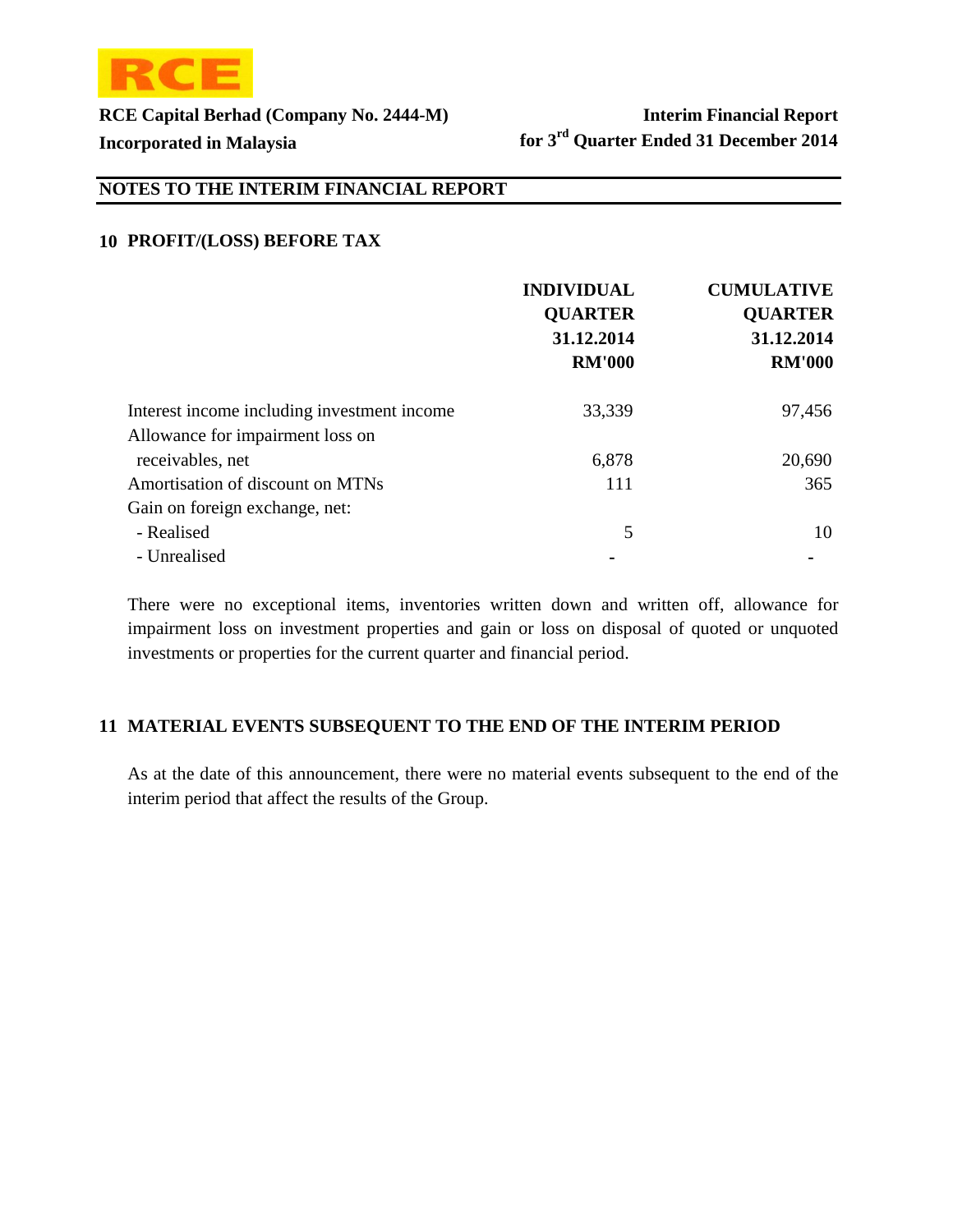

# **NOTES TO THE INTERIM FINANCIAL REPORT**

### **10 PROFIT/(LOSS) BEFORE TAX**

|                                             | <b>INDIVIDUAL</b><br><b>QUARTER</b><br>31.12.2014<br><b>RM'000</b> | <b>CUMULATIVE</b><br><b>QUARTER</b><br>31.12.2014<br><b>RM'000</b> |
|---------------------------------------------|--------------------------------------------------------------------|--------------------------------------------------------------------|
| Interest income including investment income | 33,339                                                             | 97,456                                                             |
| Allowance for impairment loss on            |                                                                    |                                                                    |
| receivables, net                            | 6,878                                                              | 20,690                                                             |
| Amortisation of discount on MTNs            | 111                                                                | 365                                                                |
| Gain on foreign exchange, net:              |                                                                    |                                                                    |
| - Realised                                  | 5                                                                  | 10                                                                 |
| - Unrealised                                |                                                                    |                                                                    |

There were no exceptional items, inventories written down and written off, allowance for impairment loss on investment properties and gain or loss on disposal of quoted or unquoted investments or properties for the current quarter and financial period.

### **11 MATERIAL EVENTS SUBSEQUENT TO THE END OF THE INTERIM PERIOD**

As at the date of this announcement, there were no material events subsequent to the end of the interim period that affect the results of the Group.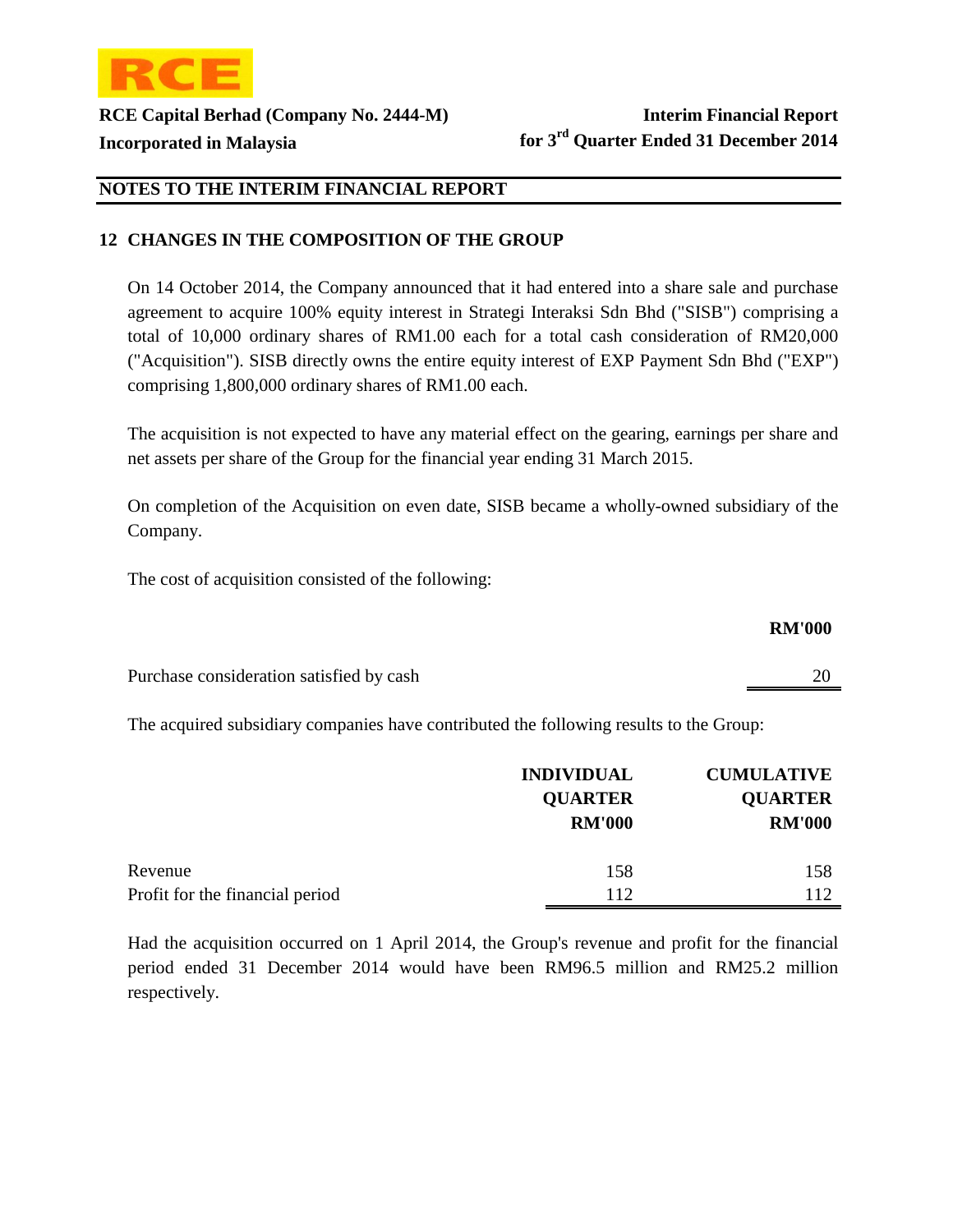

### **NOTES TO THE INTERIM FINANCIAL REPORT**

### **12 CHANGES IN THE COMPOSITION OF THE GROUP**

On 14 October 2014, the Company announced that it had entered into a share sale and purchase agreement to acquire 100% equity interest in Strategi Interaksi Sdn Bhd ("SISB") comprising a total of 10,000 ordinary shares of RM1.00 each for a total cash consideration of RM20,000 ("Acquisition"). SISB directly owns the entire equity interest of EXP Payment Sdn Bhd ("EXP") comprising 1,800,000 ordinary shares of RM1.00 each.

The acquisition is not expected to have any material effect on the gearing, earnings per share and net assets per share of the Group for the financial year ending 31 March 2015.

On completion of the Acquisition on even date, SISB became a wholly-owned subsidiary of the Company.

The cost of acquisition consisted of the following:

#### **RM'000**

Purchase consideration satisfied by cash 20

The acquired subsidiary companies have contributed the following results to the Group:

|                                 | <b>INDIVIDUAL</b> | <b>CUMULATIVE</b> |
|---------------------------------|-------------------|-------------------|
|                                 | <b>QUARTER</b>    | <b>QUARTER</b>    |
|                                 | <b>RM'000</b>     | <b>RM'000</b>     |
| Revenue                         |                   | 158               |
|                                 | 158               |                   |
| Profit for the financial period | 112               | 112               |

Had the acquisition occurred on 1 April 2014, the Group's revenue and profit for the financial period ended 31 December 2014 would have been RM96.5 million and RM25.2 million respectively.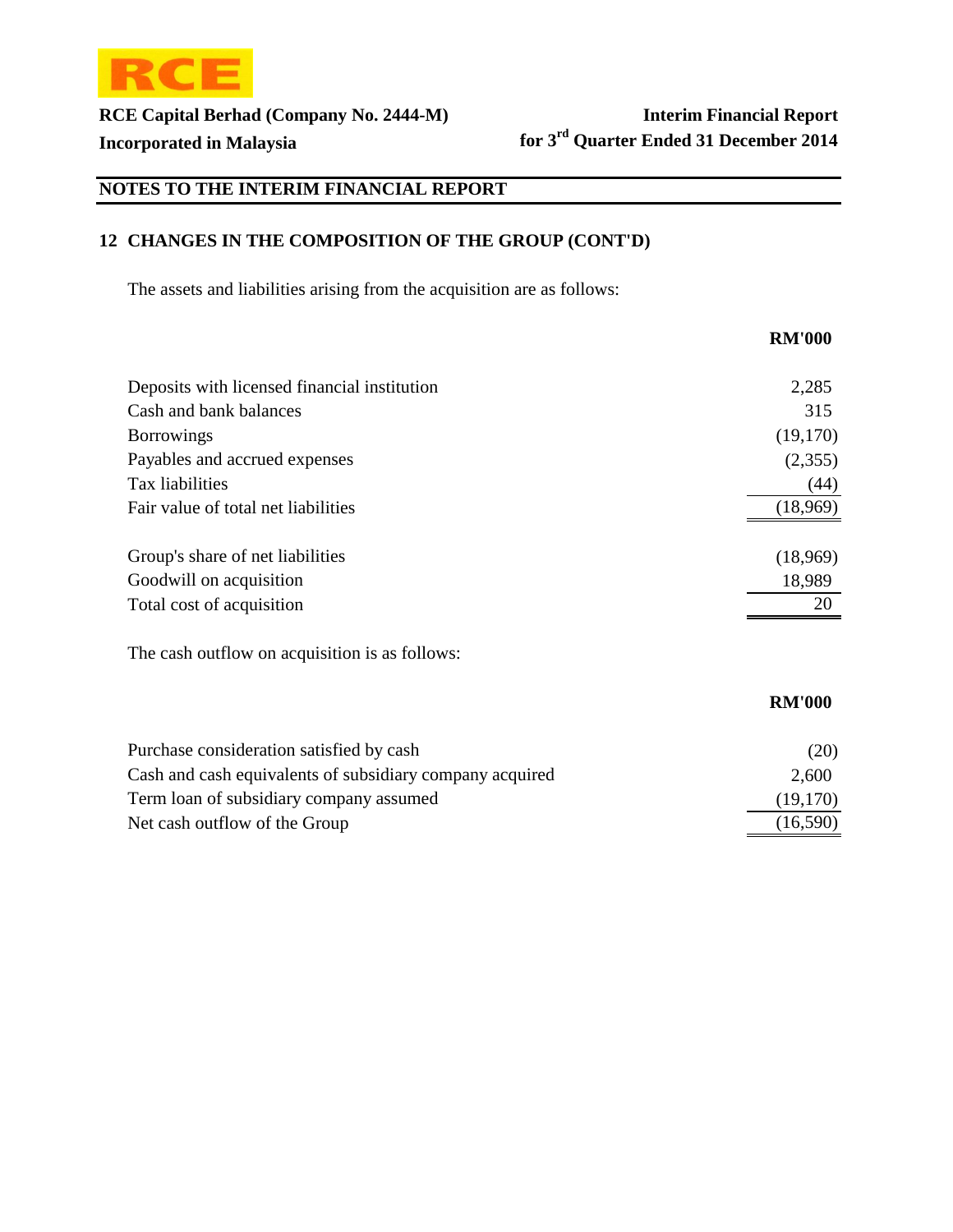

# **NOTES TO THE INTERIM FINANCIAL REPORT**

# **12 CHANGES IN THE COMPOSITION OF THE GROUP (CONT'D)**

The assets and liabilities arising from the acquisition are as follows:

|                                                          | <b>RM'000</b> |
|----------------------------------------------------------|---------------|
| Deposits with licensed financial institution             | 2,285         |
| Cash and bank balances                                   | 315           |
| <b>Borrowings</b>                                        | (19,170)      |
| Payables and accrued expenses                            | (2,355)       |
| Tax liabilities                                          | (44)          |
| Fair value of total net liabilities                      | (18,969)      |
| Group's share of net liabilities                         | (18,969)      |
| Goodwill on acquisition                                  | 18,989        |
| Total cost of acquisition                                | 20            |
| The cash outflow on acquisition is as follows:           |               |
|                                                          | <b>RM'000</b> |
| Purchase consideration satisfied by cash                 | (20)          |
| Cash and cash equivalents of subsidiary company acquired | 2,600         |
| Term loan of subsidiary company assumed                  | (19, 170)     |
| Net cash outflow of the Group                            | (16,590)      |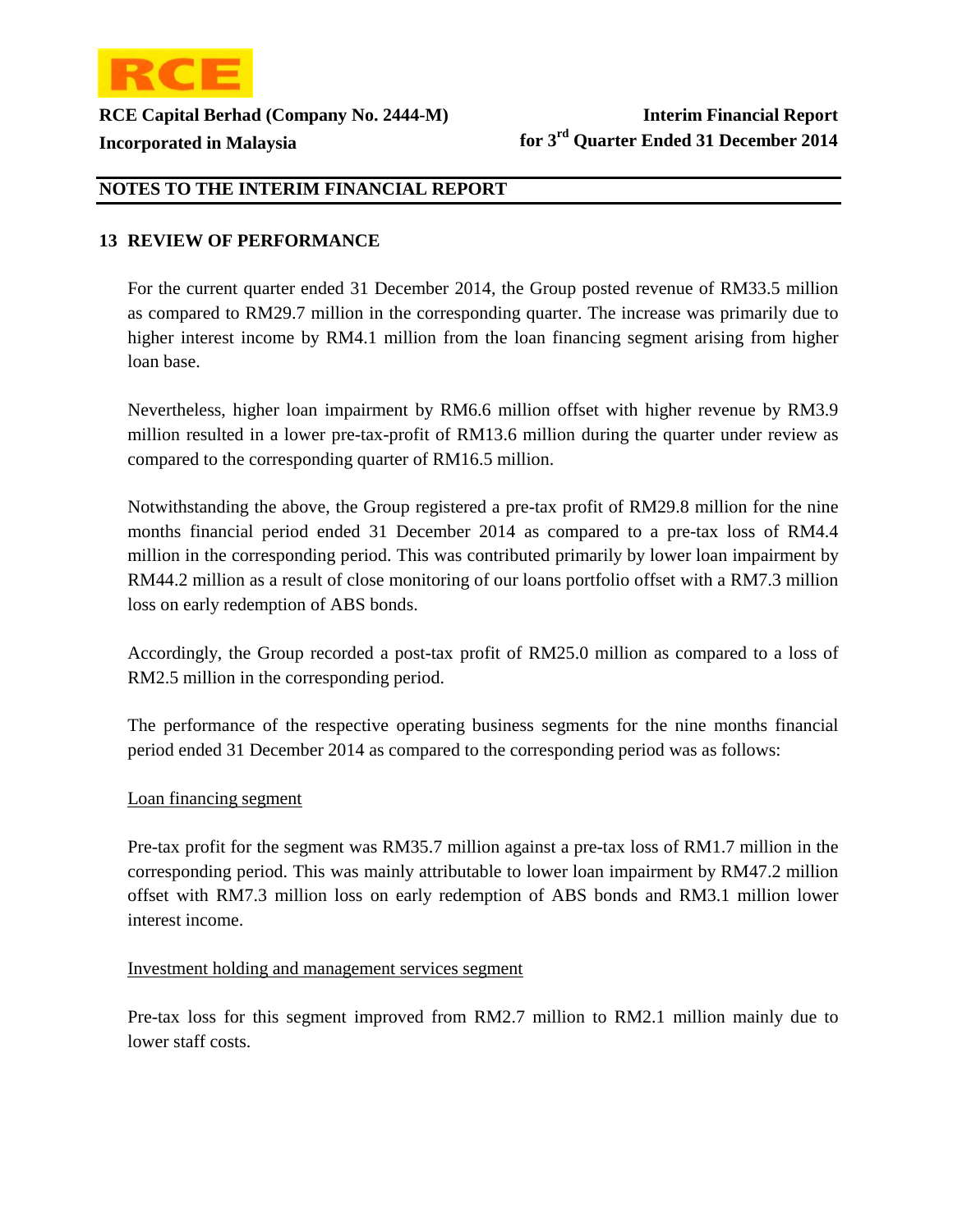

### **13 REVIEW OF PERFORMANCE**

For the current quarter ended 31 December 2014, the Group posted revenue of RM33.5 million as compared to RM29.7 million in the corresponding quarter. The increase was primarily due to higher interest income by RM4.1 million from the loan financing segment arising from higher loan base.

Nevertheless, higher loan impairment by RM6.6 million offset with higher revenue by RM3.9 million resulted in a lower pre-tax-profit of RM13.6 million during the quarter under review as compared to the corresponding quarter of RM16.5 million.

Notwithstanding the above, the Group registered a pre-tax profit of RM29.8 million for the nine months financial period ended 31 December 2014 as compared to a pre-tax loss of RM4.4 million in the corresponding period. This was contributed primarily by lower loan impairment by RM44.2 million as a result of close monitoring of our loans portfolio offset with a RM7.3 million loss on early redemption of ABS bonds.

Accordingly, the Group recorded a post-tax profit of RM25.0 million as compared to a loss of RM2.5 million in the corresponding period.

The performance of the respective operating business segments for the nine months financial period ended 31 December 2014 as compared to the corresponding period was as follows:

### Loan financing segment

Pre-tax profit for the segment was RM35.7 million against a pre-tax loss of RM1.7 million in the corresponding period. This was mainly attributable to lower loan impairment by RM47.2 million offset with RM7.3 million loss on early redemption of ABS bonds and RM3.1 million lower interest income.

#### Investment holding and management services segment

Pre-tax loss for this segment improved from RM2.7 million to RM2.1 million mainly due to lower staff costs.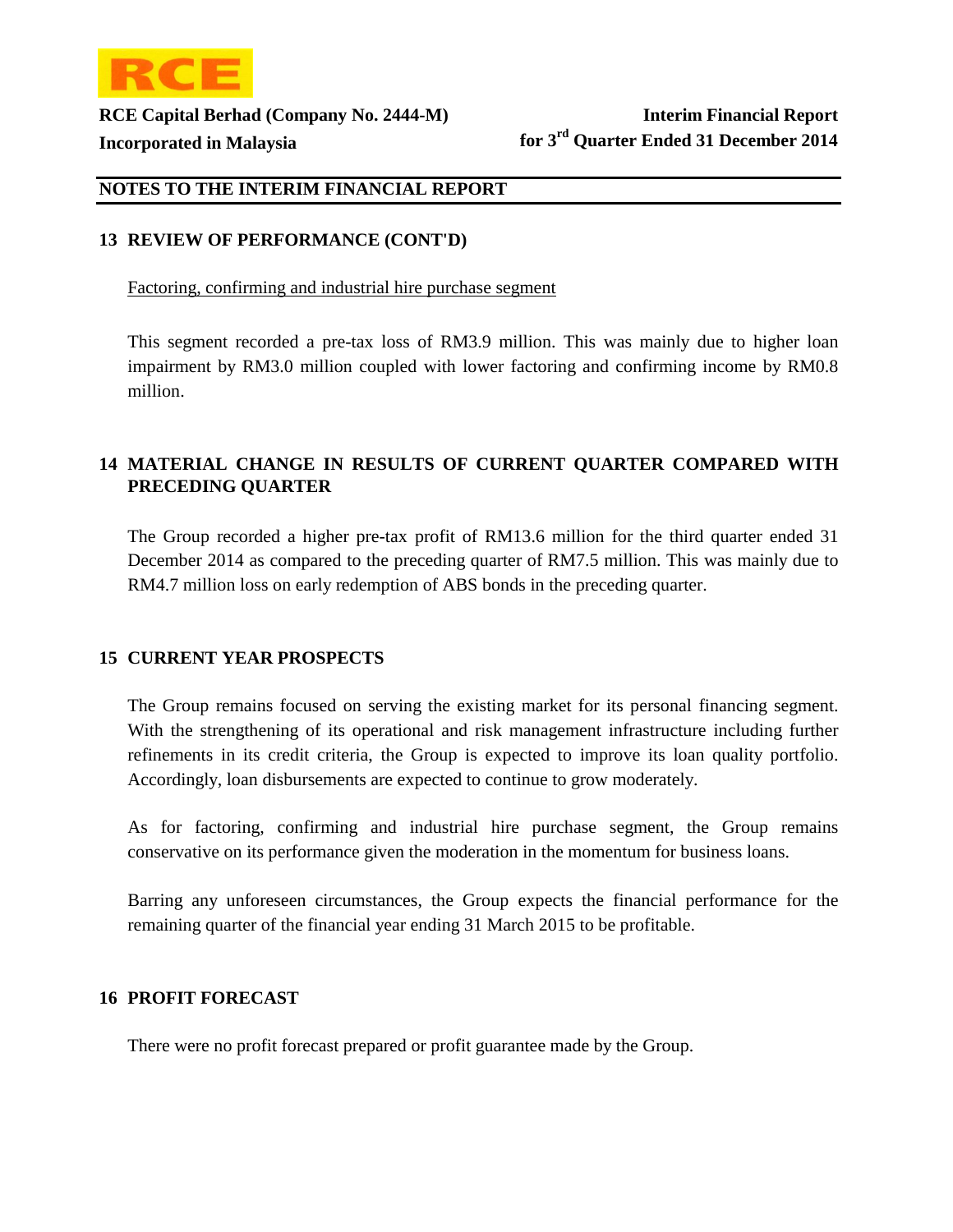

### **13 REVIEW OF PERFORMANCE (CONT'D)**

Factoring, confirming and industrial hire purchase segment

This segment recorded a pre-tax loss of RM3.9 million. This was mainly due to higher loan impairment by RM3.0 million coupled with lower factoring and confirming income by RM0.8 million.

### **14 MATERIAL CHANGE IN RESULTS OF CURRENT QUARTER COMPARED WITH PRECEDING QUARTER**

The Group recorded a higher pre-tax profit of RM13.6 million for the third quarter ended 31 December 2014 as compared to the preceding quarter of RM7.5 million. This was mainly due to RM4.7 million loss on early redemption of ABS bonds in the preceding quarter.

### **15 CURRENT YEAR PROSPECTS**

The Group remains focused on serving the existing market for its personal financing segment. With the strengthening of its operational and risk management infrastructure including further refinements in its credit criteria, the Group is expected to improve its loan quality portfolio. Accordingly, loan disbursements are expected to continue to grow moderately.

As for factoring, confirming and industrial hire purchase segment, the Group remains conservative on its performance given the moderation in the momentum for business loans.

Barring any unforeseen circumstances, the Group expects the financial performance for the remaining quarter of the financial year ending 31 March 2015 to be profitable.

### **16 PROFIT FORECAST**

There were no profit forecast prepared or profit guarantee made by the Group.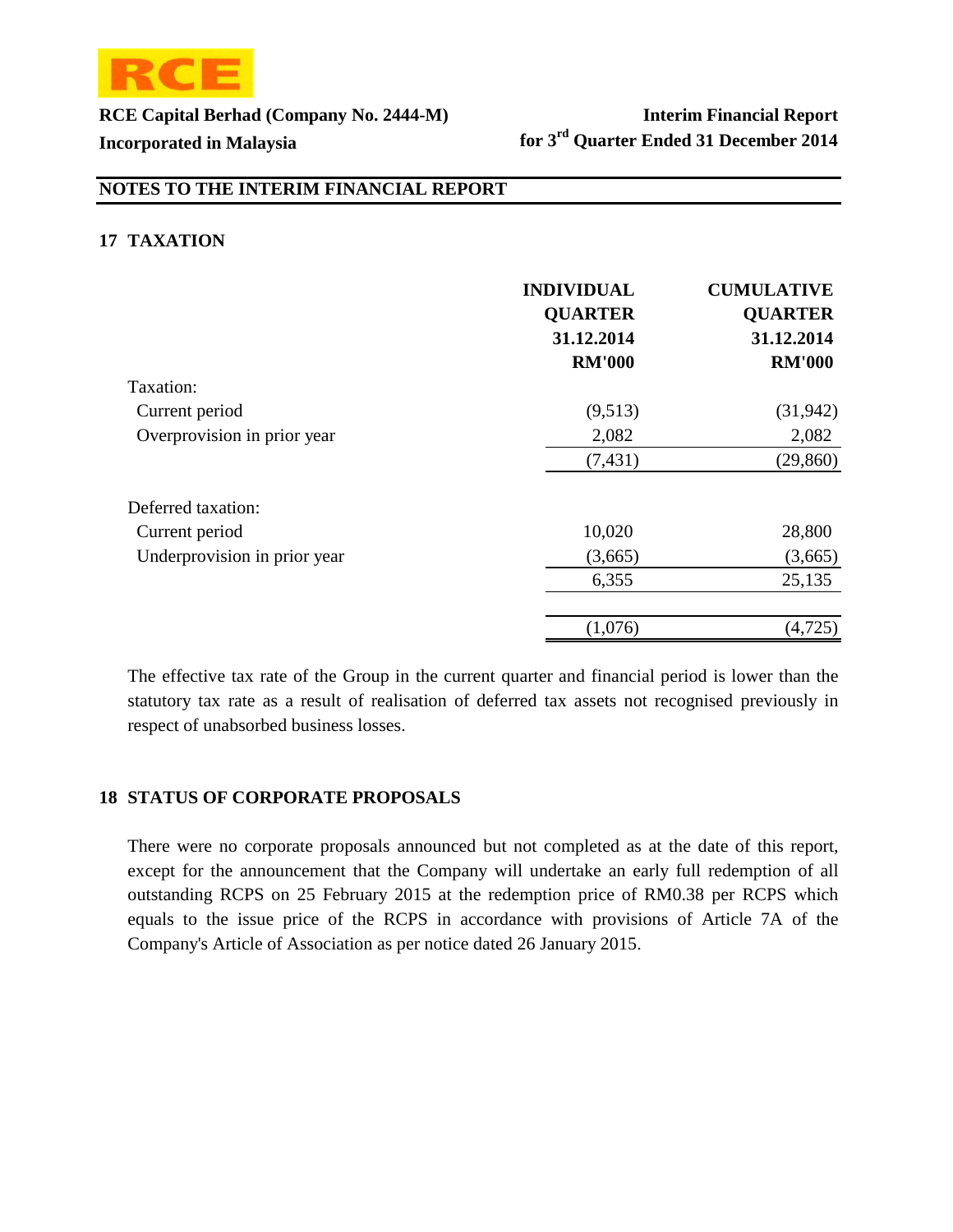

### **NOTES TO THE INTERIM FINANCIAL REPORT**

### **17 TAXATION**

|                              | <b>INDIVIDUAL</b><br><b>QUARTER</b><br>31.12.2014<br><b>RM'000</b> | <b>CUMULATIVE</b><br><b>QUARTER</b><br>31.12.2014<br><b>RM'000</b> |
|------------------------------|--------------------------------------------------------------------|--------------------------------------------------------------------|
| Taxation:                    |                                                                    |                                                                    |
| Current period               | (9,513)                                                            | (31, 942)                                                          |
| Overprovision in prior year  | 2,082                                                              | 2,082                                                              |
|                              | (7, 431)                                                           | (29, 860)                                                          |
| Deferred taxation:           |                                                                    |                                                                    |
| Current period               | 10,020                                                             | 28,800                                                             |
| Underprovision in prior year | (3,665)                                                            | (3,665)                                                            |
|                              | 6,355                                                              | 25,135                                                             |
|                              | (1,076)                                                            | (4,725)                                                            |

The effective tax rate of the Group in the current quarter and financial period is lower than the statutory tax rate as a result of realisation of deferred tax assets not recognised previously in respect of unabsorbed business losses.

### **18 STATUS OF CORPORATE PROPOSALS**

There were no corporate proposals announced but not completed as at the date of this report, except for the announcement that the Company will undertake an early full redemption of all outstanding RCPS on 25 February 2015 at the redemption price of RM0.38 per RCPS which equals to the issue price of the RCPS in accordance with provisions of Article 7A of the Company's Article of Association as per notice dated 26 January 2015.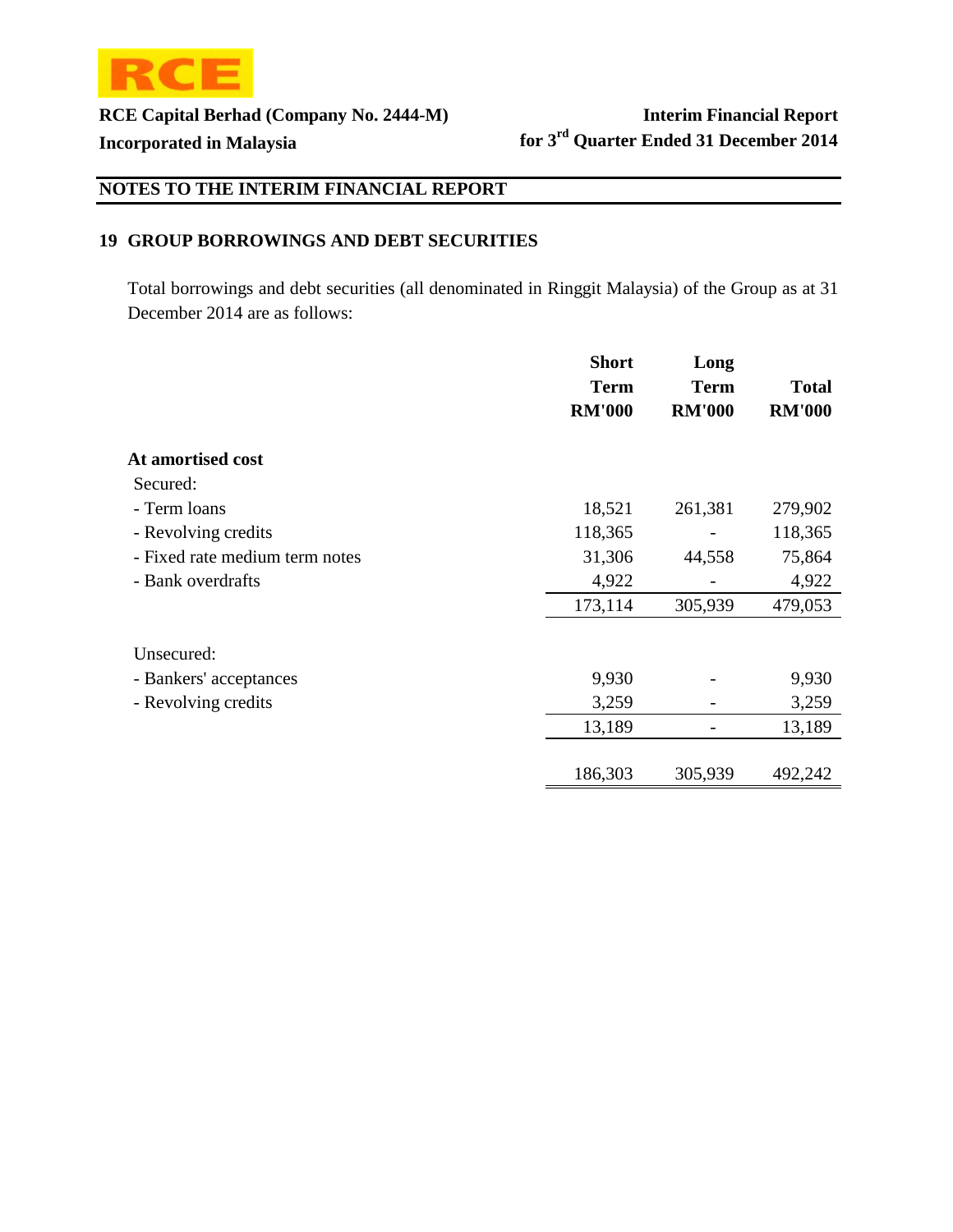

# **NOTES TO THE INTERIM FINANCIAL REPORT**

### **19 GROUP BORROWINGS AND DEBT SECURITIES**

Total borrowings and debt securities (all denominated in Ringgit Malaysia) of the Group as at 31 December 2014 are as follows:

|                                | <b>Short</b>  | Long          |               |
|--------------------------------|---------------|---------------|---------------|
|                                | <b>Term</b>   | <b>Term</b>   | <b>Total</b>  |
|                                | <b>RM'000</b> | <b>RM'000</b> | <b>RM'000</b> |
| At amortised cost              |               |               |               |
| Secured:                       |               |               |               |
| - Term loans                   | 18,521        | 261,381       | 279,902       |
| - Revolving credits            | 118,365       |               | 118,365       |
| - Fixed rate medium term notes | 31,306        | 44,558        | 75,864        |
| - Bank overdrafts              | 4,922         |               | 4,922         |
|                                | 173,114       | 305,939       | 479,053       |
| Unsecured:                     |               |               |               |
| - Bankers' acceptances         | 9,930         |               | 9,930         |
| - Revolving credits            | 3,259         |               | 3,259         |
|                                | 13,189        |               | 13,189        |
|                                | 186,303       | 305,939       | 492,242       |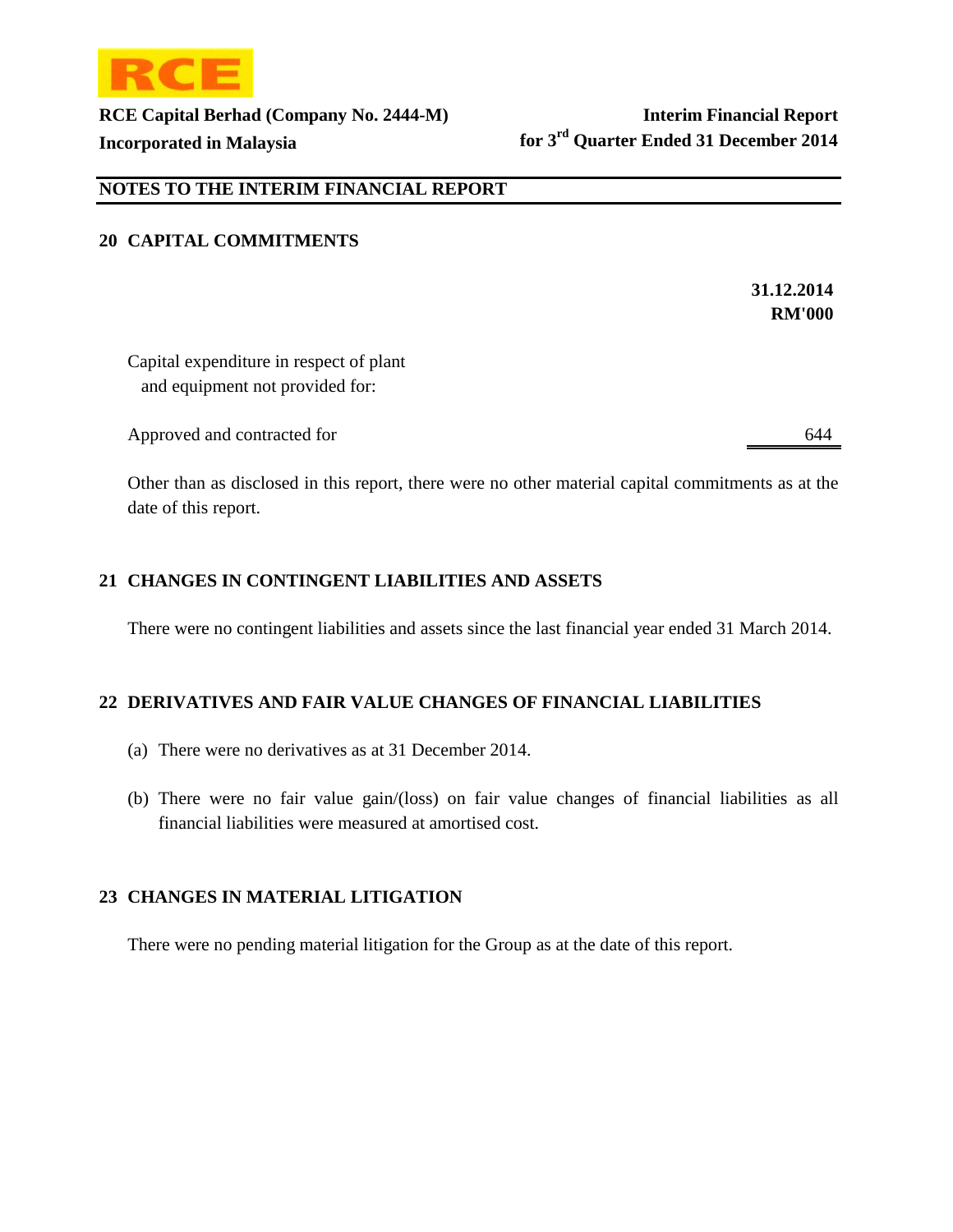

### **NOTES TO THE INTERIM FINANCIAL REPORT**

### **20 CAPITAL COMMITMENTS**

**31.12.2014 RM'000** 

Capital expenditure in respect of plant and equipment not provided for:

Approved and contracted for 644

Other than as disclosed in this report, there were no other material capital commitments as at the date of this report.

### **21 CHANGES IN CONTINGENT LIABILITIES AND ASSETS**

There were no contingent liabilities and assets since the last financial year ended 31 March 2014.

### **22 DERIVATIVES AND FAIR VALUE CHANGES OF FINANCIAL LIABILITIES**

- (a) There were no derivatives as at 31 December 2014.
- (b) There were no fair value gain/(loss) on fair value changes of financial liabilities as all financial liabilities were measured at amortised cost.

### **23 CHANGES IN MATERIAL LITIGATION**

There were no pending material litigation for the Group as at the date of this report.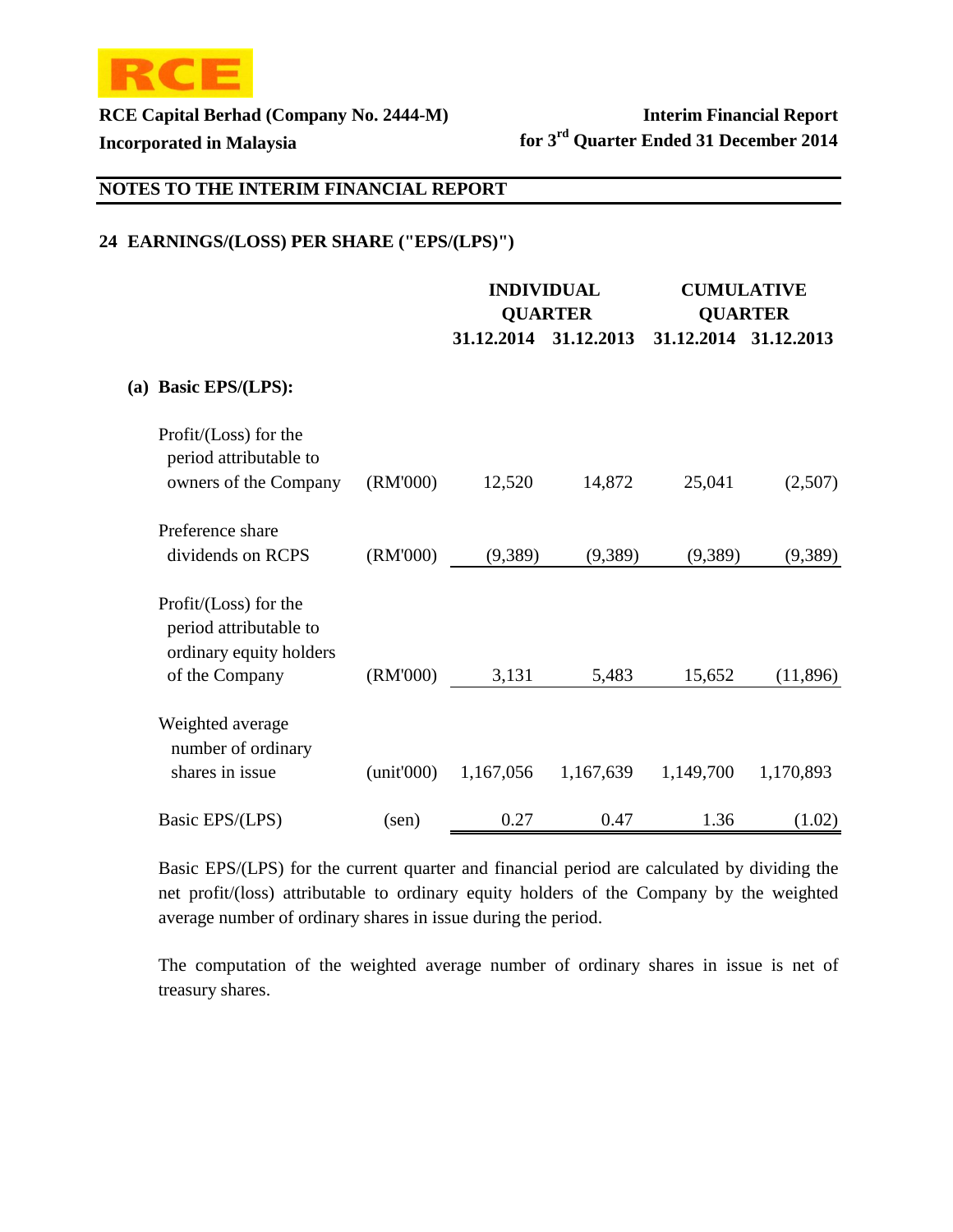

 $(a)$ 

**RCE Capital Berhad (Company No. 2444-M) Interim Financial Report Incorporated in Malaysia for 3rd Quarter Ended 31 December 2014**

# **NOTES TO THE INTERIM FINANCIAL REPORT**

### **24 EARNINGS/(LOSS) PER SHARE ("EPS/(LPS)")**

|                                                                            |                |                | <b>INDIVIDUAL</b> | <b>CUMULATIVE</b>     |           |
|----------------------------------------------------------------------------|----------------|----------------|-------------------|-----------------------|-----------|
|                                                                            |                | <b>QUARTER</b> |                   | <b>QUARTER</b>        |           |
|                                                                            |                | 31.12.2014     | 31.12.2013        | 31.12.2014 31.12.2013 |           |
| <b>Basic EPS/(LPS):</b>                                                    |                |                |                   |                       |           |
| Profit/(Loss) for the<br>period attributable to<br>owners of the Company   | (RM'000)       | 12,520         | 14,872            | 25,041                | (2,507)   |
| Preference share<br>dividends on RCPS                                      | (RM'000)       | (9,389)        | (9,389)           | (9,389)               | (9,389)   |
| Profit/(Loss) for the<br>period attributable to<br>ordinary equity holders |                |                |                   |                       |           |
| of the Company                                                             | (RM'000)       | 3,131          | 5,483             | 15,652                | (11,896)  |
| Weighted average<br>number of ordinary<br>shares in issue                  | (unit'000)     | 1,167,056      | 1,167,639         | 1,149,700             | 1,170,893 |
| Basic EPS/(LPS)                                                            | $(\text{sen})$ | 0.27           | 0.47              | 1.36                  | (1.02)    |

Basic EPS/(LPS) for the current quarter and financial period are calculated by dividing the net profit/(loss) attributable to ordinary equity holders of the Company by the weighted average number of ordinary shares in issue during the period.

The computation of the weighted average number of ordinary shares in issue is net of treasury shares.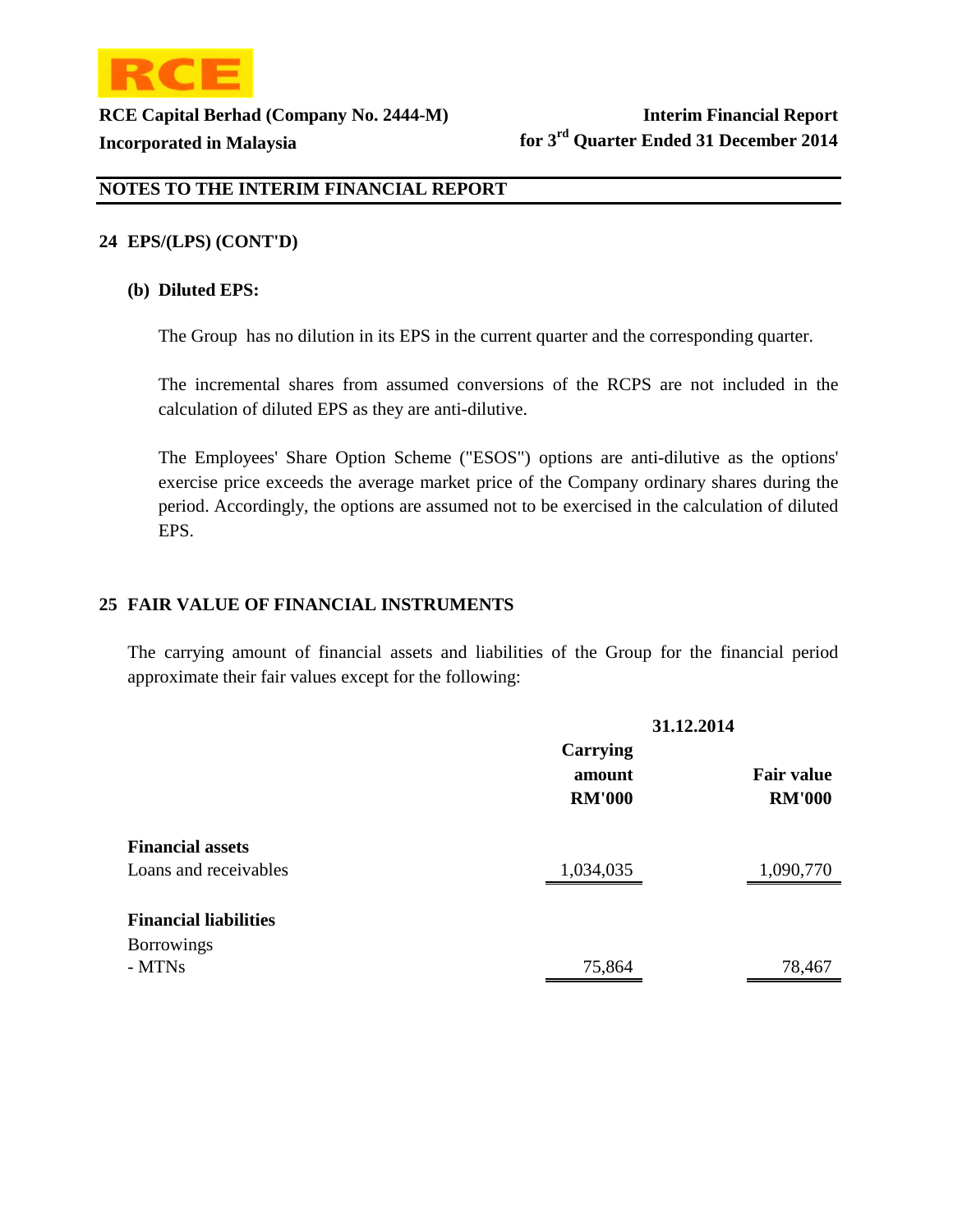

### **24 EPS/(LPS) (CONT'D)**

### **(b) Diluted EPS:**

The Group has no dilution in its EPS in the current quarter and the corresponding quarter.

The incremental shares from assumed conversions of the RCPS are not included in the calculation of diluted EPS as they are anti-dilutive.

The Employees' Share Option Scheme ("ESOS") options are anti-dilutive as the options' exercise price exceeds the average market price of the Company ordinary shares during the period. Accordingly, the options are assumed not to be exercised in the calculation of diluted EPS.

### **25 FAIR VALUE OF FINANCIAL INSTRUMENTS**

The carrying amount of financial assets and liabilities of the Group for the financial period approximate their fair values except for the following:

|                              | 31.12.2014                          |                                    |
|------------------------------|-------------------------------------|------------------------------------|
|                              | Carrying<br>amount<br><b>RM'000</b> | <b>Fair value</b><br><b>RM'000</b> |
| <b>Financial assets</b>      |                                     |                                    |
| Loans and receivables        | 1,034,035                           | 1,090,770                          |
| <b>Financial liabilities</b> |                                     |                                    |
| <b>Borrowings</b>            |                                     |                                    |
| - MTNs                       | 75,864                              | 78,467                             |